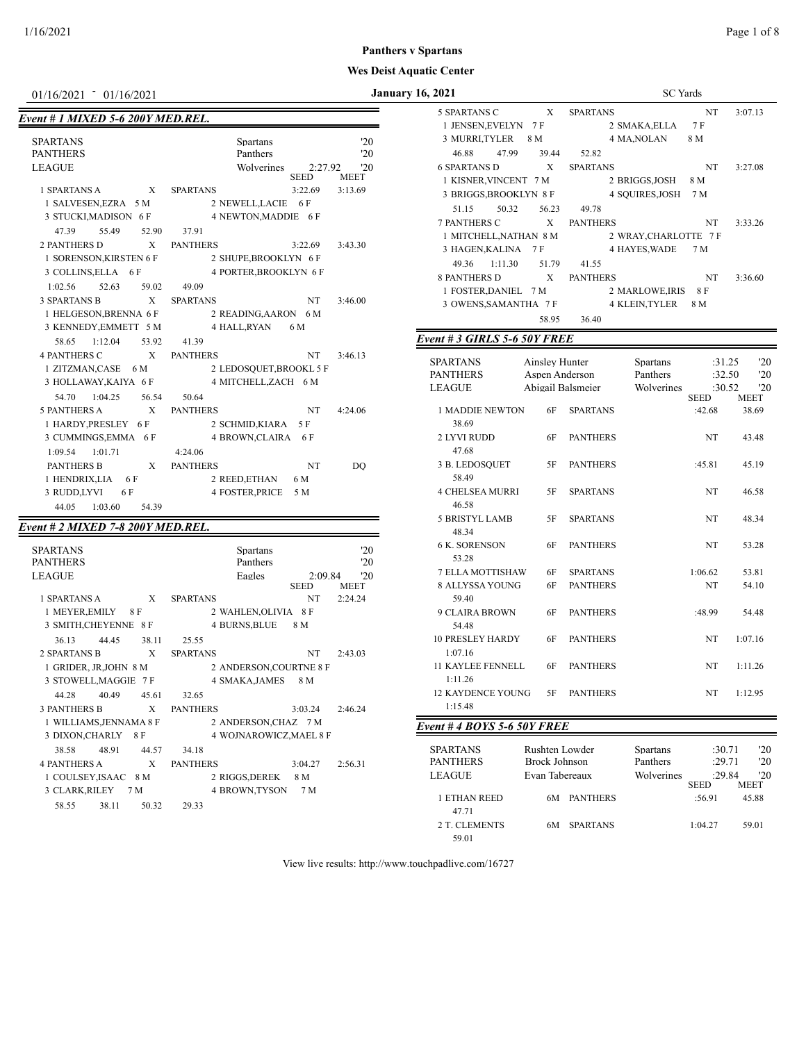# *Event # 1 MIXED 5-6 200Y MED.REL.*

| <b>SPARTANS</b><br><b>PANTHERS</b>  | Spartans<br>Panthers          | '20<br>'20    |
|-------------------------------------|-------------------------------|---------------|
|                                     |                               |               |
| <b>LEAGUE</b>                       | Wolverines                    | 2:27.92<br>20 |
|                                     | <b>SEED</b>                   | <b>MEET</b>   |
| 1 SPARTANS A<br>$\mathbf{x}$        | <b>SPARTANS</b><br>3:22.69    | 3:13.69       |
| 1 SALVESEN, EZRA 5 M                | 2 NEWELL, LACIE 6 F           |               |
| 3 STUCKI, MADISON 6 F               | 4 NEWTON, MADDIE 6 F          |               |
| 55.49<br>47.39<br>52.90             | 37.91                         |               |
| <b>2 PANTHERS D</b><br>X            | <b>PANTHERS</b><br>3:22.69    | 3:43.30       |
| 1 SORENSON, KIRSTEN 6 F             | 2 SHUPE, BROOKLYN 6 F         |               |
| 3 COLLINS, ELLA 6 F                 | 4 PORTER, BROOKLYN 6 F        |               |
| $1:02.56$ 52.63<br>59.02            | 49.09                         |               |
| <b>3 SPARTANS B</b><br>X            | <b>SPARTANS</b><br>NT.        | 3:46.00       |
| 1 HELGESON, BRENNA 6 F              | 2 READING, AARON 6 M          |               |
| 3 KENNEDY, EMMETT 5 M               | 4 HALL,RYAN<br>6 M            |               |
| 58.65 1:12.04<br>53.92              | 41.39                         |               |
| <b>4 PANTHERS C</b><br>$\mathbf{X}$ | <b>PANTHERS</b><br>NT         | 3:46.13       |
| 1 ZITZMAN, CASE 6 M                 | 2 LEDOSQUET, BROOKL 5 F       |               |
| 3 HOLLAWAY, KAIYA 6 F               | 4 MITCHELL, ZACH 6 M          |               |
| 54.70 1:04.25 56.54                 | 50.64                         |               |
| <b>5 PANTHERS A</b><br>X            | <b>PANTHERS</b><br>NT         | 4:24.06       |
| 1 HARDY, PRESLEY 6 F                | 2 SCHMID, KIARA 5 F           |               |
| 3 CUMMINGS, EMMA 6 F                | 4 BROWN, CLAIRA 6 F           |               |
| $1:09.54$ 1:01.71                   | 4:24.06                       |               |
| <b>PANTHERS B</b><br>X              | <b>PANTHERS</b><br>NT         | DO            |
| 1 HENDRIX,LIA 6F                    | 2 REED, ETHAN<br>6 M          |               |
| 3 RUDD,LYVI<br>6 F                  | <b>4 FOSTER, PRICE</b><br>5 M |               |
| 1:03.60<br>44.05<br>54.39           |                               |               |

# *Event # 2 MIXED 7-8 200Y MED.REL.*

| <b>SPARTANS</b>                     | <b>Spartans</b>         |                        | $20^{\circ}$       |
|-------------------------------------|-------------------------|------------------------|--------------------|
| <b>PANTHERS</b>                     | Panthers                |                        | '20                |
| <b>LEAGUE</b>                       | Eagles                  | 2:09.84<br><b>SEED</b> | '20<br><b>MEET</b> |
| 1 SPARTANS A<br>X                   | <b>SPARTANS</b>         | <b>NT</b>              | 2:24.24            |
| 1 MEYER, EMILY 8 F                  | 2 WAHLEN, OLIVIA 8 F    |                        |                    |
| 3 SMITH, CHEYENNE 8 F               | 4 BURNS,BLUE            | 8 M                    |                    |
| 36.13<br>44 45<br>38.11             | 25.55                   |                        |                    |
| 2 SPARTANS B<br>X                   | <b>SPARTANS</b>         | <b>NT</b>              | 2:43.03            |
| 1 GRIDER, JR, JOHN 8 M              | 2 ANDERSON, COURTNE 8 F |                        |                    |
| 3 STOWELL, MAGGIE 7 F               | 4 SMAKA, JAMES          | 8 M                    |                    |
| 40.49<br>45.61<br>44.28             | 32.65                   |                        |                    |
| <b>3 PANTHERS B</b><br>$\mathbf{x}$ | <b>PANTHERS</b>         | 3:03.24                | 2:46.24            |
| 1 WILLIAMS, JENNAMA 8 F             | 2 ANDERSON, CHAZ 7 M    |                        |                    |
| 3 DIXON,CHARLY<br>-8 F              | 4 WOJNAROWICZ, MAEL 8 F |                        |                    |
| 48.91<br>38.58<br>44.57             | 34.18                   |                        |                    |
| <b>4 PANTHERS A</b><br>X            | <b>PANTHERS</b>         | 3:04.27                | 2:56.31            |
| 1 COULSEY, ISAAC 8 M                | 2 RIGGS,DEREK           | 8 M                    |                    |
| 3 CLARK,RILEY<br>7 M                | 4 BROWN,TYSON           | 7 M                    |                    |
| 38.11<br>50.32<br>58.55             | 29.33                   |                        |                    |
|                                     |                         |                        |                    |

| 01/16/2021 <sup>-</sup> 01/16/2021                                                                            |             | <b>January 16, 2021</b>                 |                   | <b>SC</b> Yards       |                       |               |
|---------------------------------------------------------------------------------------------------------------|-------------|-----------------------------------------|-------------------|-----------------------|-----------------------|---------------|
| the control of the control of the control of the control of the control of<br>ent # 1 MIXED 5-6 200Y MED.REL. |             | 5 SPARTANS C X SPARTANS                 |                   |                       | NT                    | 3:07.13       |
|                                                                                                               |             | 1 JENSEN, EVELYN 7 F                    |                   | 2 SMAKA, ELLA 7 F     |                       |               |
| SPARTANS<br>Spartans                                                                                          | '20         | 3 MURRI, TYLER 8 M                      |                   | 4 MA, NOLAN           | 8 M                   |               |
| Panthers<br>PANTHERS                                                                                          | '20         | 46.88<br>47.99<br>39.44                 | 52.82             |                       |                       |               |
| LEAGUE<br>Wolverines<br>2:27.92<br>SEED                                                                       | '20<br>MEET | <b>6 SPARTANS D</b>                     | X SPARTANS        |                       | NT                    | 3:27.08       |
| X SPARTANS<br>3:22.69<br>1 SPARTANS A                                                                         | 3:13.69     | 1 KISNER, VINCENT 7 M                   |                   | 2 BRIGGS, JOSH 8 M    |                       |               |
| 1 SALVESEN, EZRA 5 M<br>2 NEWELL, LACIE 6 F                                                                   |             | 3 BRIGGS, BROOKLYN 8 F                  |                   | 4 SQUIRES, JOSH 7 M   |                       |               |
| 3 STUCKI, MADISON 6 F<br>4 NEWTON, MADDIE 6 F                                                                 |             | 51.15<br>50.32<br>56.23                 | 49.78             |                       |                       |               |
| 37.91<br>47.39<br>55.49<br>52.90                                                                              |             | 7 PANTHERS C<br>1 MITCHELL, NATHAN 8 M  | X PANTHERS        | 2 WRAY, CHARLOTTE 7 F | NT                    | 3:33.26       |
| 2 PANTHERS D<br>$\mathbf{X}$<br>PANTHERS<br>3:22.69                                                           | 3:43.30     | 3 HAGEN, KALINA 7 F                     |                   | 4 HAYES, WADE         | 7 M                   |               |
| 1 SORENSON, KIRSTEN 6 F<br>2 SHUPE, BROOKLYN 6 F                                                              |             | 49.36 1:11.30<br>51.79                  | 41.55             |                       |                       |               |
| 4 PORTER, BROOKLYN 6 F<br>3 COLLINS, ELLA 6 F                                                                 |             | <b>8 PANTHERS D</b>                     | X PANTHERS        | NT                    |                       | 3:36.60       |
| 49.09<br>1:02.56<br>52.63<br>59.02                                                                            |             | 1 FOSTER, DANIEL 7 M                    |                   | 2 MARLOWE, IRIS 8 F   |                       |               |
| $\mathbf{X}$<br>3 SPARTANS B<br>SPARTANS<br>NT NT                                                             | 3:46.00     | 3 OWENS, SAMANTHA 7 F                   |                   | 4 KLEIN, TYLER 8 M    |                       |               |
| 1 HELGESON, BRENNA 6 F<br>2 READING, AARON 6 M                                                                |             | 58.95                                   | 36.40             |                       |                       |               |
| 4 HALL,RYAN<br>3 KENNEDY, EMMETT 5 M<br>6 M                                                                   |             |                                         |                   |                       |                       |               |
| 58.65 1:12.04<br>53.92<br>41.39                                                                               |             | Event # 3 GIRLS 5-6 50Y FREE            |                   |                       |                       |               |
| X PANTHERS<br><b>4 PANTHERS C</b><br>NT                                                                       | 3:46.13     | <b>SPARTANS</b><br>Ainsley Hunter       |                   | <b>Spartans</b>       | :31.25                | '20           |
| 1 ZITZMAN,CASE 6 M<br>2 LEDOSQUET, BROOKL 5 F                                                                 |             | <b>PANTHERS</b><br>Aspen Anderson       |                   | Panthers              | :32.50                | '20           |
| 3 HOLLAWAY, KAIYA 6 F<br>4 MITCHELL, ZACH 6 M                                                                 |             | LEAGUE                                  | Abigail Balsmeier | Wolverines            | :30.52                | '20           |
| 54.70 1:04.25<br>56.54<br>50.64                                                                               |             |                                         |                   |                       | SEED                  | <b>MEET</b>   |
| $\mathbf{X}$<br>5 PANTHERS A<br>PANTHERS<br>NT NT                                                             | 4:24.06     | 1 MADDIE NEWTON                         | 6F SPARTANS       |                       | :42.68                | 38.69         |
| 1 HARDY, PRESLEY 6 F<br>2 SCHMID, KIARA 5 F<br>4 BROWN, CLAIRA 6 F<br>3 CUMMINGS, EMMA 6 F                    |             | 38.69<br>2 LYVI RUDD<br>6F              | <b>PANTHERS</b>   |                       | NT                    | 43.48         |
|                                                                                                               |             | 47.68                                   |                   |                       |                       |               |
| $1:09.54$ $1:01.71$<br>4:24.06<br><b>PANTHERS B</b><br>X PANTHERS<br>NT <sub>N</sub>                          | DQ          | 3 B. LEDOSQUET<br>5F                    | <b>PANTHERS</b>   |                       | :45.81                | 45.19         |
| 1 HENDRIX,LIA 6 F<br>2 REED, ETHAN 6 M                                                                        |             | 58.49                                   |                   |                       |                       |               |
| 3 RUDD,LYVI<br>6 F<br>4 FOSTER, PRICE 5 M                                                                     |             | <b>4 CHELSEA MURRI</b><br>5F            | <b>SPARTANS</b>   |                       | NT                    | 46.58         |
| 44.05 1:03.60<br>54.39                                                                                        |             | 46.58                                   |                   |                       |                       |               |
|                                                                                                               |             | 5 BRISTYL LAMB<br>5F                    | SPARTANS          |                       | NT                    | 48.34         |
| ent # 2 MIXED 7-8 200Y MED.REL.                                                                               |             | 48.34                                   |                   |                       |                       |               |
| SPARTANS<br>Spartans                                                                                          | '20         | 6 K. SORENSON<br>6F                     | <b>PANTHERS</b>   |                       | NT                    | 53.28         |
| Panthers<br>PANTHERS                                                                                          | '20         | 53.28                                   |                   |                       |                       |               |
| LEAGUE<br>Eagles<br>2:09.84                                                                                   | '20         | 7 ELLA MOTTISHAW<br>6F                  | <b>SPARTANS</b>   |                       | 1:06.62               | 53.81         |
| SEED                                                                                                          | MEET        | 8 ALLYSSA YOUNG<br>6F                   | <b>PANTHERS</b>   |                       | NT                    | 54.10         |
| X SPARTANS<br>NT<br>1 SPARTANS A                                                                              | 2:24.24     | 59.40                                   |                   |                       |                       |               |
| 1 MEYER, EMILY 8 F<br>2 WAHLEN, OLIVIA 8 F<br>3 SMITH, CHEYENNE 8 F<br>4 BURNS, BLUE 8 M                      |             | 9 CLAIRA BROWN<br>6F                    | <b>PANTHERS</b>   |                       | :48.99                | 54.48         |
| 36.13<br>25.55                                                                                                |             | 54.48<br>10 PRESLEY HARDY<br>6F         | PANTHERS          |                       | NT                    | 1:07.16       |
| 44.45<br>38.11<br>X SPARTANS<br>2 SPARTANS B<br>NT                                                            | 2:43.03     | 1:07.16                                 |                   |                       |                       |               |
| 2 ANDERSON, COURTNE 8 F<br>1 GRIDER, JR,JOHN 8 M                                                              |             | <b>11 KAYLEE FENNELL</b>                | 6F PANTHERS       |                       | NT                    | 1:11.26       |
| 3 STOWELL, MAGGIE 7 F<br>4 SMAKA, JAMES 8 M                                                                   |             | 1:11.26                                 |                   |                       |                       |               |
| 44.28<br>40.49<br>45.61<br>32.65                                                                              |             | 12 KAYDENCE YOUNG                       | 5F PANTHERS       |                       | NT                    | 1:12.95       |
| <b>3 PANTHERS B</b><br>X<br><b>PANTHERS</b><br>3:03.24                                                        | 2:46.24     | 1:15.48                                 |                   |                       |                       |               |
| 1 WILLIAMS, JENNAMA 8 F<br>2 ANDERSON, CHAZ 7 M                                                               |             | Event #4 BOYS 5-6 50Y FREE              |                   |                       |                       |               |
| 3 DIXON, CHARLY 8 F<br>4 WOJNAROWICZ, MAEL 8 F                                                                |             |                                         |                   |                       |                       |               |
| 38.58<br>48.91<br>44.57<br>34.18                                                                              |             | <b>SPARTANS</b><br>Rushten Lowder       |                   | <b>Spartans</b>       | :30.71                | '20           |
| <b>4 PANTHERS A</b><br>X<br><b>PANTHERS</b><br>3:04.27                                                        | 2:56.31     | <b>PANTHERS</b><br><b>Brock Johnson</b> |                   | Panthers              | :29.71                | '20           |
| 1 COULSEY, ISAAC 8 M<br>2 RIGGS, DEREK 8 M                                                                    |             | LEAGUE<br>Evan Tabereaux                |                   | Wolverines            | :29.84                | '20           |
| 3 CLARK, RILEY 7 M<br>4 BROWN, TYSON 7 M                                                                      |             | 1 ETHAN REED                            | 6M PANTHERS       |                       | <b>SEED</b><br>:56.91 | MEET<br>45.88 |
| 58.55<br>38.11<br>50.32<br>29.33                                                                              |             | 47.71                                   |                   |                       |                       |               |
|                                                                                                               |             | 2 T. CLEMENTS                           | 6M SPARTANS       |                       | 1:04.27               | 59.01         |
|                                                                                                               |             | 59.01                                   |                   |                       |                       |               |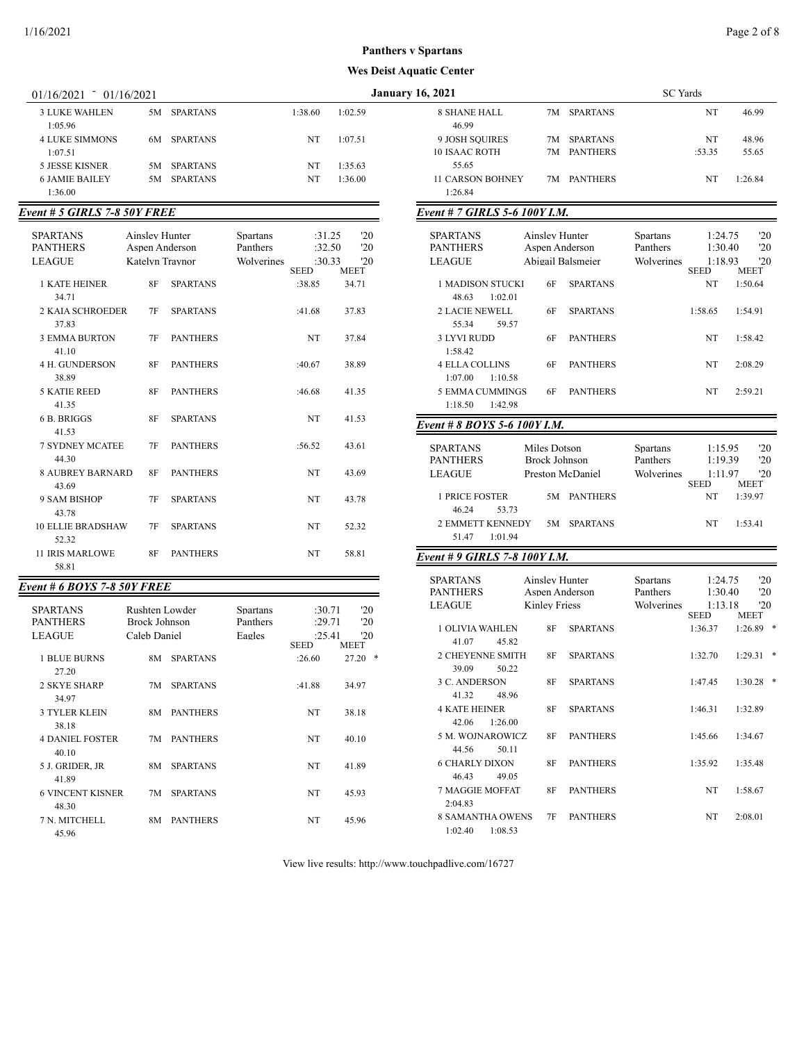| 01/16/2021<br>01/16/2021 |    |                 | <b>January 16, 2021</b> |         |                         |    |             |    |  |
|--------------------------|----|-----------------|-------------------------|---------|-------------------------|----|-------------|----|--|
| <b>3 LUKE WAHLEN</b>     |    | 5M SPARTANS     | 1:38.60                 | 1:02.59 | 8 SHANE HALL            |    | 7M SPARTANS |    |  |
| 1:05.96                  |    |                 |                         |         | 46.99                   |    |             |    |  |
| <b>4 LUKE SIMMONS</b>    |    | 6M SPARTANS     | NT                      | 1:07.51 | 9 JOSH SOUIRES          | 7M | SPARTANS    |    |  |
| 1:07.51                  |    |                 |                         |         | <b>10 ISAAC ROTH</b>    |    | 7M PANTHERS | :5 |  |
| 5 JESSE KISNER           | 5M | SPARTANS        | NT                      | 1:35.63 | 55.65                   |    |             |    |  |
| <b>6 JAMIE BAILEY</b>    | 5M | <b>SPARTANS</b> | NT                      | 1:36.00 | <b>11 CARSON BOHNEY</b> |    | 7M PANTHERS |    |  |
| 1:36.00                  |    |                 |                         |         | 1:26.84                 |    |             |    |  |

# *Event # 5 GIRLS 7-8 50Y FREE*

| <b>MEET</b><br><b>SEED</b><br><b>1 KATE HEINER</b><br>8F<br><b>SPARTANS</b><br>:38.85<br>34.71<br>34.71<br>2 KAJA SCHROEDER<br><b>SPARTANS</b><br>7F<br>:41.68<br>37.83<br>37.83<br><b>PANTHERS</b><br><b>3 EMMA BURTON</b><br>7F<br>NT<br>37.84<br>41.10<br><b>4 H. GUNDERSON</b><br><b>PANTHERS</b><br>8F<br>:40.67<br>38.89<br>38.89<br><b>5 KATIE REED</b><br>8F<br><b>PANTHERS</b><br>:46.68<br>41.35<br>41.35<br>6 B. BRIGGS<br>8F<br><b>SPARTANS</b><br>NT<br>41.53<br>41.53<br><b>7 SYDNEY MCATEE</b><br>7F<br><b>PANTHERS</b><br>:56.52<br>43.61<br>44.30<br><b>8 AUBREY BARNARD</b><br>8F<br><b>PANTHERS</b><br>NT<br>43.69 | <b>SPARTANS</b><br><b>PANTHERS</b><br><b>LEAGUE</b> | Ainsley Hunter<br>Aspen Anderson<br>Katelyn Traynor | Spartans<br>Panthers<br>Wolverines | :31.25<br>:32.50<br>:30.33 | '20<br>'20<br>20 |
|---------------------------------------------------------------------------------------------------------------------------------------------------------------------------------------------------------------------------------------------------------------------------------------------------------------------------------------------------------------------------------------------------------------------------------------------------------------------------------------------------------------------------------------------------------------------------------------------------------------------------------------|-----------------------------------------------------|-----------------------------------------------------|------------------------------------|----------------------------|------------------|
|                                                                                                                                                                                                                                                                                                                                                                                                                                                                                                                                                                                                                                       |                                                     |                                                     |                                    |                            |                  |
|                                                                                                                                                                                                                                                                                                                                                                                                                                                                                                                                                                                                                                       |                                                     |                                                     |                                    |                            |                  |
|                                                                                                                                                                                                                                                                                                                                                                                                                                                                                                                                                                                                                                       |                                                     |                                                     |                                    |                            |                  |
|                                                                                                                                                                                                                                                                                                                                                                                                                                                                                                                                                                                                                                       |                                                     |                                                     |                                    |                            |                  |
|                                                                                                                                                                                                                                                                                                                                                                                                                                                                                                                                                                                                                                       |                                                     |                                                     |                                    |                            |                  |
|                                                                                                                                                                                                                                                                                                                                                                                                                                                                                                                                                                                                                                       |                                                     |                                                     |                                    |                            |                  |
|                                                                                                                                                                                                                                                                                                                                                                                                                                                                                                                                                                                                                                       |                                                     |                                                     |                                    |                            |                  |
|                                                                                                                                                                                                                                                                                                                                                                                                                                                                                                                                                                                                                                       |                                                     |                                                     |                                    |                            |                  |
|                                                                                                                                                                                                                                                                                                                                                                                                                                                                                                                                                                                                                                       |                                                     |                                                     |                                    |                            |                  |
| 43.69<br>9 SAM BISHOP<br>7F<br><b>SPARTANS</b><br>NT<br>43.78<br>43.78                                                                                                                                                                                                                                                                                                                                                                                                                                                                                                                                                                |                                                     |                                                     |                                    |                            |                  |
| <b>10 ELLIE BRADSHAW</b><br><b>SPARTANS</b><br><b>NT</b><br>7F<br>52.32                                                                                                                                                                                                                                                                                                                                                                                                                                                                                                                                                               |                                                     |                                                     |                                    |                            |                  |
| 52.32<br><b>11 IRIS MARLOWE</b><br><b>PANTHERS</b><br>8F<br>NT<br>58.81<br>58.81                                                                                                                                                                                                                                                                                                                                                                                                                                                                                                                                                      |                                                     |                                                     |                                    |                            |                  |

# *Event # 6 BOYS 7-8 50Y FREE*

| <b>SPARTANS</b><br><b>PANTHERS</b><br><b>LEAGUE</b> | Rushten Lowder<br>Brock Johnson<br>Caleb Daniel |                 | <b>Spartans</b><br>Panthers<br>Eagles | :30.71<br>:29.71<br>:25.41 | '20<br>'20<br>'20         |
|-----------------------------------------------------|-------------------------------------------------|-----------------|---------------------------------------|----------------------------|---------------------------|
| 1 BLUE BURNS                                        | 8M                                              | <b>SPARTANS</b> |                                       | <b>SEED</b><br>:26.60      | <b>MEET</b><br>*<br>27.20 |
| 27.20                                               |                                                 |                 |                                       |                            |                           |
| 2 SKYE SHARP                                        | 7M                                              | <b>SPARTANS</b> |                                       | :41.88                     | 34.97                     |
| 34.97                                               |                                                 |                 |                                       |                            |                           |
| <b>3 TYLER KLEIN</b>                                | 8M                                              | <b>PANTHERS</b> |                                       | NT                         | 38.18                     |
| 38.18                                               |                                                 |                 |                                       |                            |                           |
| <b>4 DANIEL FOSTER</b><br>40.10                     | 7M                                              | <b>PANTHERS</b> |                                       | NT                         | 40.10                     |
|                                                     |                                                 |                 |                                       |                            |                           |
| 5 J. GRIDER, JR<br>41.89                            | 8M                                              | <b>SPARTANS</b> |                                       | NT                         | 41.89                     |
| <b>6 VINCENT KISNER</b>                             | 7M                                              | <b>SPARTANS</b> |                                       | NT                         | 45.93                     |
| 48.30                                               |                                                 |                 |                                       |                            |                           |
| 7 N. MITCHELL                                       | 8M                                              | <b>PANTHERS</b> |                                       | NT                         | 45.96                     |
| 45.96                                               |                                                 |                 |                                       |                            |                           |

| 16, 2021                     | <b>SC</b> Yards |                 |        |         |
|------------------------------|-----------------|-----------------|--------|---------|
| <b>8 SHANE HALL</b><br>46.99 | 7M -            | <b>SPARTANS</b> | NT     | 46.99   |
| <b>9 JOSH SOUIRES</b>        | 7M              | <b>SPARTANS</b> | NT     | 48.96   |
| 10 ISAAC ROTH                | 7M              | <b>PANTHERS</b> | :53.35 | 55.65   |
| 55.65                        |                 |                 |        |         |
| <b>11 CARSON BOHNEY</b>      | 7M              | <b>PANTHERS</b> | NT     | 1:26.84 |
| 1:26.84                      |                 |                 |        |         |

## *Event # 7 GIRLS 5-6 100Y I.M.*

| <b>SPARTANS</b><br><b>PANTHERS</b>           | Ainsley Hunter<br>Aspen Anderson |                   | Spartans<br>Panthers | 1:24.75<br>1:30.40     | '20<br>'20  |
|----------------------------------------------|----------------------------------|-------------------|----------------------|------------------------|-------------|
| <b>LEAGUE</b>                                |                                  | Abigail Balsmeier | Wolverines           | 1:18.93<br><b>SEED</b> | '20<br>MEET |
| <b>1 MADISON STUCKI</b><br>1:02.01<br>48.63  | 6F                               | <b>SPARTANS</b>   |                      | NT                     | 1:50.64     |
| <b>2 LACIE NEWELL</b>                        | 6F                               | <b>SPARTANS</b>   |                      | 1:58.65                | 1:54.91     |
| 55.34<br>59.57<br><b>3 LYVI RUDD</b>         | 6F                               | <b>PANTHERS</b>   |                      | NT                     | 1:58.42     |
| 1:58.42<br><b>4 ELLA COLLINS</b>             | 6F                               | <b>PANTHERS</b>   |                      | <b>NT</b>              | 2:08.29     |
| 1:07.00<br>1:10.58<br><b>5 EMMA CUMMINGS</b> | 6F                               | <b>PANTHERS</b>   |                      | <b>NT</b>              | 2:59.21     |
| 1:18.50<br>1:42.98                           |                                  |                   |                      |                        |             |
| Event # 8 BOYS 5-6 100Y I.M.                 |                                  |                   |                      |                        |             |
| <b>SPARTANS</b>                              | Miles Dotson                     |                   | Spartans             | 1:15.95                | '20         |

| <b>PANTHERS</b>       | Brock Johnson    |             | Panthers   | 1:19.39     | $20^{\circ}$ |
|-----------------------|------------------|-------------|------------|-------------|--------------|
| <b>LEAGUE</b>         | Preston McDaniel |             | Wolverines | 1:11.97     | $20^{\circ}$ |
|                       |                  |             |            | <b>SEED</b> | <b>MEET</b>  |
| <b>1 PRICE FOSTER</b> |                  | 5M PANTHERS |            | NT          | 1.3997       |
| 46.24<br>53.73        |                  |             |            |             |              |
| 2 EMMETT KENNEDY      |                  | 5M SPARTANS |            | NT          | 1:53.41      |
| 51.47<br>1:01.94      |                  |             |            |             |              |

## *Event # 9 GIRLS 7-8 100Y I.M.*

| <b>SPARTANS</b>         | Ainsley Hunter |                 | Spartans   | 1:24.75     | '20         |   |
|-------------------------|----------------|-----------------|------------|-------------|-------------|---|
| <b>PANTHERS</b>         | Aspen Anderson |                 | Panthers   | 1:30.40     | '20         |   |
| <b>LEAGUE</b>           | Kinley Friess  |                 | Wolverines | 1:13.18     | '20         |   |
|                         |                |                 |            | <b>SEED</b> | <b>MEET</b> |   |
| <b>1 OLIVIA WAHLEN</b>  | 8F             | <b>SPARTANS</b> |            | 1:36.37     | 1:26.89     | ∗ |
| 45.82<br>41.07          |                |                 |            |             |             |   |
| 2 CHEYENNE SMITH        | 8F             | <b>SPARTANS</b> |            | 1:32.70     | 1:29.31     | ∗ |
| 50.22<br>39.09          |                |                 |            |             |             |   |
| 3 C. ANDERSON           | 8F             | <b>SPARTANS</b> |            | 1:47.45     | 1:30.28     | ∗ |
| 41.32<br>48.96          |                |                 |            |             |             |   |
| <b>4 KATE HEINER</b>    | 8F             | <b>SPARTANS</b> |            | 1:46.31     | 1:32.89     |   |
| 42.06<br>1:26.00        |                |                 |            |             |             |   |
| 5 M. WOJNAROWICZ        | 8F             | <b>PANTHERS</b> |            | 1:45.66     | 1:34.67     |   |
| 50.11<br>44.56          |                |                 |            |             |             |   |
| <b>6 CHARLY DIXON</b>   | 8F             | <b>PANTHERS</b> |            | 1:35.92     | 1:35.48     |   |
| 46.43<br>49.05          |                |                 |            |             |             |   |
| <b>7 MAGGIE MOFFAT</b>  | 8F             | <b>PANTHERS</b> |            | <b>NT</b>   | 1:58.67     |   |
| 2:04.83                 |                |                 |            |             |             |   |
| <b>8 SAMANTHA OWENS</b> | 7F             | <b>PANTHERS</b> |            | <b>NT</b>   | 2:08.01     |   |
| 1:08.53<br>1:02.40      |                |                 |            |             |             |   |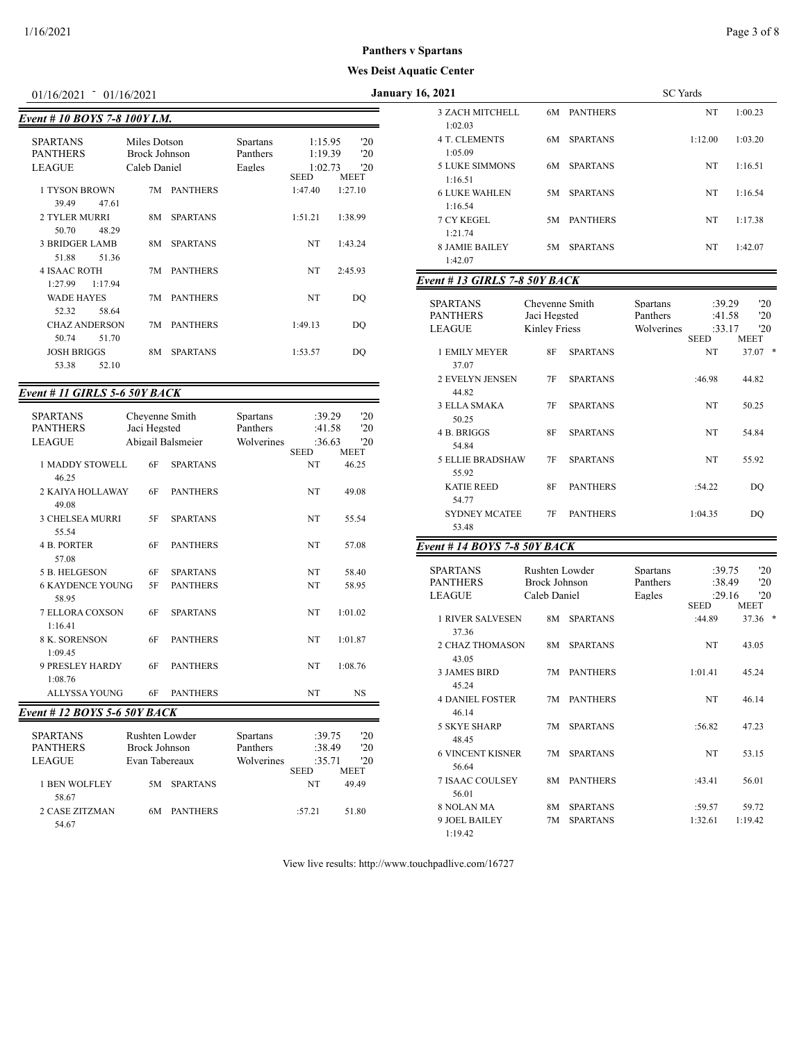| VI/IV/2V21                                   | <u>01/10/2021</u> |                                                      |                 |                                |                                              |                                  |
|----------------------------------------------|-------------------|------------------------------------------------------|-----------------|--------------------------------|----------------------------------------------|----------------------------------|
| Event # 10 BOYS 7-8 100Y I.M.                |                   |                                                      |                 |                                |                                              |                                  |
| <b>SPARTANS</b><br><b>PANTHERS</b><br>LEAGUE |                   | Miles Dotson<br><b>Brock Johnson</b><br>Caleb Daniel |                 | Spartans<br>Panthers<br>Eagles | 1:15.95<br>1:19.39<br>1:02.73<br><b>SEED</b> | '20<br>'20<br>'20<br><b>MEET</b> |
| 1 TYSON BROWN                                |                   | 7M                                                   | <b>PANTHERS</b> |                                | 1:47.40                                      | 1:27.10                          |
| 39.49<br>2 TYLER MURRI<br>50.70              | 47.61<br>48.29    | 8M                                                   | <b>SPARTANS</b> |                                | 1:51.21                                      | 1:38.99                          |
| <b>3 BRIDGER LAMB</b>                        |                   | 8M                                                   | <b>SPARTANS</b> |                                | NT.                                          | 1:43.24                          |
| 51.88                                        | 51.36             |                                                      |                 |                                |                                              |                                  |
| <b>4 ISAAC ROTH</b>                          |                   | 7M                                                   | <b>PANTHERS</b> |                                | NT                                           | 2:45.93                          |
| 1:27.99                                      | 1:17.94           |                                                      |                 |                                |                                              |                                  |
| <b>WADE HAYES</b>                            |                   | 7M                                                   | <b>PANTHERS</b> |                                | NT                                           | DO                               |
| 52.32                                        | 58.64             |                                                      |                 |                                |                                              |                                  |
| <b>CHAZ ANDERSON</b>                         | 51.70             | 7M                                                   | <b>PANTHERS</b> |                                | 1:49.13                                      | DO                               |
| 50.74<br><b>JOSH BRIGGS</b>                  |                   | 8M                                                   | <b>SPARTANS</b> |                                | 1:53.57                                      | DO                               |
| 53.38                                        | 52.10             |                                                      |                 |                                |                                              |                                  |

# *Event # 11 GIRLS 5-6 50Y BACK*

| <b>SPARTANS</b>                    |              | Chevenne Smith                  | <b>Spartans</b>             | :39.29           | '20         |
|------------------------------------|--------------|---------------------------------|-----------------------------|------------------|-------------|
| <b>PANTHERS</b>                    | Jaci Hegsted |                                 | Panthers                    | :41.58           | '20         |
| <b>LEAGUE</b>                      |              | Abigail Balsmeier               | Wolverines                  | :36.63           | '20         |
|                                    |              |                                 |                             | <b>SEED</b>      | <b>MEET</b> |
| <b>1 MADDY STOWELL</b><br>46.25    | 6F           | <b>SPARTANS</b>                 |                             | NT               | 46.25       |
| 2 KAIYA HOLLAWAY<br>49.08          | 6F           | <b>PANTHERS</b>                 |                             | NT               | 49.08       |
| <b>3 CHELSEA MURRI</b><br>55.54    | 5F           | <b>SPARTANS</b>                 |                             | <b>NT</b>        | 55.54       |
| <b>4 B. PORTER</b><br>57.08        | 6F           | <b>PANTHERS</b>                 |                             | NT               | 57.08       |
| <b>5 B. HELGESON</b>               | 6F           | <b>SPARTANS</b>                 |                             | NT               | 58.40       |
| <b>6 KAYDENCE YOUNG</b>            | 5F           | <b>PANTHERS</b>                 |                             | NT               | 58.95       |
| 58.95                              |              |                                 |                             |                  |             |
| <b>7 ELLORA COXSON</b>             | 6F           | <b>SPARTANS</b>                 |                             | NT               | 1:01.02     |
| 1:16.41                            |              |                                 |                             |                  |             |
| 8 K. SORENSON                      | 6F           | <b>PANTHERS</b>                 |                             | <b>NT</b>        | 1:01.87     |
| 1:09.45                            |              |                                 |                             |                  |             |
| <b>9 PRESLEY HARDY</b>             | 6F           | <b>PANTHERS</b>                 |                             | <b>NT</b>        | 1:08.76     |
| 1:08.76                            |              |                                 |                             |                  |             |
| <b>ALLYSSA YOUNG</b>               | 6F           | <b>PANTHERS</b>                 |                             | <b>NT</b>        | <b>NS</b>   |
| Event # 12 BOYS 5-6 50Y BACK       |              |                                 |                             |                  |             |
|                                    |              |                                 |                             |                  |             |
| <b>SPARTANS</b><br><b>PANTHERS</b> |              | Rushten Lowder<br>Brock Johnson | <b>Spartans</b><br>Panthers | :39.75<br>:38.49 | '20<br>'20  |
| <b>LEAGUE</b>                      |              | Evan Tabereaux                  | Wolverines                  | :35.71           | 20          |
|                                    |              |                                 |                             | <b>SEED</b>      | <b>MEET</b> |
| <b>1 BEN WOLFLEY</b>               | 5M           | <b>SPARTANS</b>                 |                             | NT               | 49.49       |
| 58.67                              |              |                                 |                             |                  |             |
| <b>2 CASE ZITZMAN</b>              | 6M           | <b>PANTHERS</b>                 |                             | :57.21           | 51.80       |
| 54.67                              |              |                                 |                             |                  |             |

| 01/16/2021 01/16/2021                     |                                      |                 |                        |                        |                      | <b>January 16, 2021</b>                             |                                                        |                            | <b>SC</b> Yards                    |                                 |                          |
|-------------------------------------------|--------------------------------------|-----------------|------------------------|------------------------|----------------------|-----------------------------------------------------|--------------------------------------------------------|----------------------------|------------------------------------|---------------------------------|--------------------------|
| ent # 10 BOYS 7-8 100Y I.M.               |                                      |                 |                        |                        |                      | 3 ZACH MITCHELL                                     |                                                        | 6M PANTHERS                |                                    | NT                              | 1:00.23                  |
| SPARTANS<br>PANTHERS                      | Miles Dotson<br><b>Brock Johnson</b> |                 | Spartans<br>Panthers   | 1:15.95<br>1:19.39     | '20<br>'20           | 1:02.03<br><b>4 T. CLEMENTS</b><br>1:05.09          |                                                        | 6M SPARTANS                |                                    | 1:12.00                         | 1:03.20                  |
| LEAGUE                                    | Caleb Daniel                         |                 | Eagles                 | 1:02.73<br><b>SEED</b> | '20<br><b>MEET</b>   | <b>5 LUKE SIMMONS</b><br>1:16.51                    | 6M                                                     | <b>SPARTANS</b>            |                                    | NT                              | 1:16.51                  |
| 1 TYSON BROWN<br>47.61<br>39.49           |                                      | 7M PANTHERS     |                        | 1:47.40                | 1:27.10              | <b>6 LUKE WAHLEN</b><br>1:16.54                     |                                                        | 5M SPARTANS                |                                    | NT                              | 1:16.54                  |
| 2 TYLER MURRI<br>50.70<br>48.29           |                                      | 8M SPARTANS     |                        | 1:51.21                | 1:38.99              | 7 CY KEGEL                                          | 5M                                                     | <b>PANTHERS</b>            |                                    | NT                              | 1:17.38                  |
| <b>3 BRIDGER LAMB</b><br>51.88<br>51.36   | 8M                                   | <b>SPARTANS</b> |                        | NT                     | 1:43.24              | 1:21.74<br><b>8 JAMIE BAILEY</b><br>1:42.07         |                                                        | 5M SPARTANS                |                                    | NT                              | 1:42.07                  |
| <b>4 ISAAC ROTH</b><br>1:27.99<br>1:17.94 |                                      | 7M PANTHERS     |                        | NT                     | 2:45.93              | Event # 13 GIRLS 7-8 50Y BACK                       |                                                        |                            |                                    |                                 |                          |
| <b>WADE HAYES</b>                         | 7M                                   | <b>PANTHERS</b> |                        | NT                     | DO                   |                                                     |                                                        |                            |                                    |                                 |                          |
| 52.32<br>58.64<br><b>CHAZ ANDERSON</b>    |                                      | 7M PANTHERS     |                        | 1:49.13                | DQ                   | <b>SPARTANS</b><br><b>PANTHERS</b><br><b>LEAGUE</b> | Cheyenne Smith<br>Jaci Hegsted<br><b>Kinley Friess</b> |                            | Spartans<br>Panthers<br>Wolverines | :39.29<br>:41.58<br>:33.17      | '20<br>'20<br>'20        |
| 50.74<br>51.70<br><b>JOSH BRIGGS</b>      |                                      | 8M SPARTANS     |                        | 1:53.57                | DO                   | 1 EMILY MEYER                                       | 8F                                                     | <b>SPARTANS</b>            |                                    | <b>SEED</b><br>NT               | <b>MEET</b><br>$37.07$ * |
| 53.38<br>52.10                            |                                      |                 |                        |                        |                      | 37.07                                               |                                                        |                            |                                    |                                 |                          |
| ent # 11 GIRLS 5-6 50Y BACK               |                                      |                 |                        |                        |                      | 2 EVELYN JENSEN<br>44.82                            | 7F                                                     | <b>SPARTANS</b>            |                                    | :46.98                          | 44.82                    |
| SPARTANS                                  | Chevenne Smith                       |                 | Spartans               | :39.29                 | '20                  | 3 ELLA SMAKA                                        | 7F                                                     | <b>SPARTANS</b>            |                                    | NT                              | 50.25                    |
| PANTHERS<br>LEAGUE                        | Jaci Hegsted<br>Abigail Balsmeier    |                 | Panthers<br>Wolverines | :41.58<br>:36.63       | '20<br>'20           | 50.25<br>4 B. BRIGGS                                | 8F                                                     | <b>SPARTANS</b>            |                                    | NT                              | 54.84                    |
| 1 MADDY STOWELL                           | 6F                                   | <b>SPARTANS</b> |                        | <b>SEED</b><br>NT      | <b>MEET</b><br>46.25 | 54.84<br>5 ELLIE BRADSHAW                           | 7F                                                     | <b>SPARTANS</b>            |                                    | NT                              | 55.92                    |
| 46.25<br>2 KAIYA HOLLAWAY                 | 6F                                   | <b>PANTHERS</b> |                        | NT                     | 49.08                | 55.92<br><b>KATIE REED</b>                          | 8F                                                     | <b>PANTHERS</b>            |                                    | :54.22                          | DQ                       |
| 49.08<br>3 CHELSEA MURRI                  | 5F                                   | <b>SPARTANS</b> |                        | NT                     | 55.54                | 54.77<br><b>SYDNEY MCATEE</b>                       | 7F                                                     | <b>PANTHERS</b>            |                                    | 1:04.35                         | DO                       |
| 55.54                                     |                                      |                 |                        |                        |                      | 53.48                                               |                                                        |                            |                                    |                                 |                          |
| 4 B. PORTER<br>57.08                      | 6F                                   | <b>PANTHERS</b> |                        | NT                     | 57.08                | Event # 14 BOYS 7-8 50Y BACK                        |                                                        |                            |                                    |                                 |                          |
| 5 B. HELGESON                             | 6F                                   | <b>SPARTANS</b> |                        | NT                     | 58.40                | <b>SPARTANS</b>                                     | Rushten Lowder                                         |                            | Spartans                           | :39.75                          | '20                      |
| <b>6 KAYDENCE YOUNG</b><br>58.95          | 5F                                   | <b>PANTHERS</b> |                        | NT                     | 58.95                | <b>PANTHERS</b><br><b>LEAGUE</b>                    | <b>Brock Johnson</b><br>Caleb Daniel                   |                            | Panthers<br>Eagles                 | :38.49<br>:29.16<br><b>SEED</b> | '20<br>'20               |
| 7 ELLORA COXSON<br>1:16.41                | 6F                                   | <b>SPARTANS</b> |                        | NT                     | 1:01.02              | <b>1 RIVER SALVESEN</b>                             |                                                        | 8M SPARTANS                |                                    | :44.89                          | MEET<br>$37.36$ *        |
| 8 K. SORENSON<br>1:09.45                  | 6F                                   | <b>PANTHERS</b> |                        | NT                     | 1:01.87              | 37.36<br>2 CHAZ THOMASON                            |                                                        | 8M SPARTANS                |                                    | NT                              | 43.05                    |
| 9 PRESLEY HARDY                           | 6F                                   | <b>PANTHERS</b> |                        | NT                     | 1:08.76              | 43.05<br>3 JAMES BIRD                               |                                                        | 7M PANTHERS                |                                    | 1:01.41                         | 45.24                    |
| 1:08.76<br>ALLYSSA YOUNG                  | 6F                                   | <b>PANTHERS</b> |                        | NT                     | <b>NS</b>            | 45.24<br><b>4 DANIEL FOSTER</b>                     |                                                        | 7M PANTHERS                |                                    | NT                              | 46.14                    |
| ent # 12 BOYS 5-6 50Y BACK                |                                      |                 |                        |                        |                      | 46.14                                               |                                                        |                            |                                    |                                 |                          |
| SPARTANS                                  | Rushten Lowder                       |                 | Spartans               | :39.75                 | '20                  | 5 SKYE SHARP<br>48.45                               |                                                        | 7M SPARTANS                |                                    | :56.82                          | 47.23                    |
| PANTHERS<br>LEAGUE                        | Brock Johnson<br>Evan Tabereaux      |                 | Panthers<br>Wolverines | :38.49<br>:35.71       | '20<br>'20           | <b>6 VINCENT KISNER</b>                             |                                                        | 7M SPARTANS                |                                    | NT                              | 53.15                    |
| 1 BEN WOLFLEY<br>58.67                    |                                      | 5M SPARTANS     |                        | <b>SEED</b><br>NT      | MEET<br>49.49        | 56.64<br>7 ISAAC COULSEY<br>56.01                   |                                                        | 8M PANTHERS                |                                    | :43.41                          | 56.01                    |
| 2 CASE ZITZMAN<br>54.67                   |                                      | 6M PANTHERS     |                        | :57.21                 | 51.80                | 8 NOLAN MA<br>9 JOEL BAILEY                         |                                                        | 8M SPARTANS<br>7M SPARTANS |                                    | :59.57<br>1:32.61               | 59.72<br>1:19.42         |
|                                           |                                      |                 |                        |                        |                      | 1:19.42                                             |                                                        |                            |                                    |                                 |                          |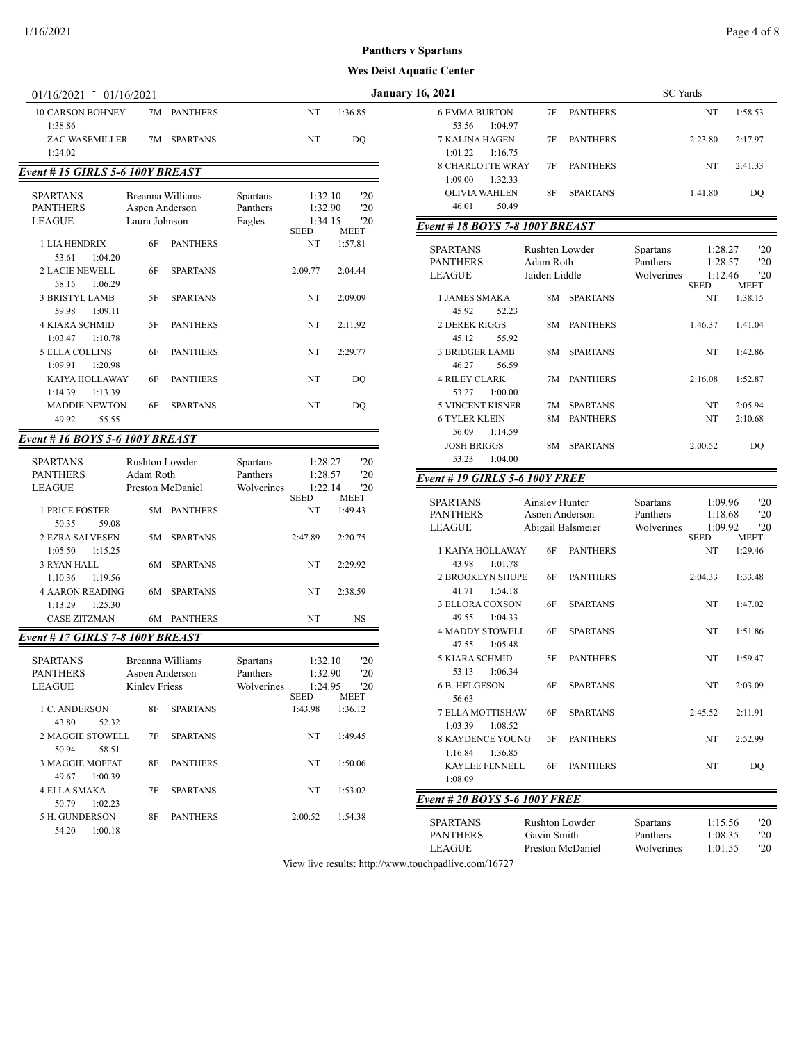| $01/16/2021 - 01/16/2021$                 |                      |                  |                        |         |                        | <b>January 16, 2021</b>                       |                             |                 |                             | <b>SC</b> Yards |
|-------------------------------------------|----------------------|------------------|------------------------|---------|------------------------|-----------------------------------------------|-----------------------------|-----------------|-----------------------------|-----------------|
| <b>10 CARSON BOHNEY</b>                   |                      | 7M PANTHERS      | NT                     |         | 1:36.85                | <b>6 EMMA BURTON</b>                          | 7F                          | <b>PANTHERS</b> |                             |                 |
| 1:38.86<br>ZAC WASEMILLER                 |                      | 7M SPARTANS      | NT                     |         | DQ                     | 53.56<br>1:04.97<br>7 KALINA HAGEN            | 7Ε                          | <b>PANTHERS</b> |                             | 2:2             |
| 1:24.02                                   |                      |                  |                        |         |                        | 1:01.22<br>1:16.75                            |                             |                 |                             |                 |
|                                           |                      |                  |                        |         |                        | <b>8 CHARLOTTE WRAY</b>                       | 7F                          | <b>PANTHERS</b> |                             |                 |
| Event # 15 GIRLS 5-6 100Y BREAST          |                      |                  |                        |         |                        | 1:09.00<br>1:32.33                            |                             |                 |                             |                 |
| <b>SPARTANS</b>                           |                      | Breanna Williams | <b>Spartans</b>        | 1:32.10 | '20                    | <b>OLIVIA WAHLEN</b>                          | 8F                          | <b>SPARTANS</b> |                             | 1:4             |
| <b>PANTHERS</b>                           | Aspen Anderson       |                  | Panthers               | 1:32.90 | '20                    | 46.01<br>50.49                                |                             |                 |                             |                 |
| <b>LEAGUE</b>                             | Laura Johnson        |                  | Eagles<br><b>SEED</b>  | 1:34.15 | '20<br><b>MEET</b>     | <b>Event # 18 BOYS 7-8 100Y BREAST</b>        |                             |                 |                             |                 |
| 1 LIA HENDRIX                             | 6F                   | <b>PANTHERS</b>  | NT                     |         | 1:57.81                |                                               |                             |                 |                             |                 |
| 53.61<br>1:04.20                          |                      |                  |                        |         |                        | <b>SPARTANS</b><br><b>PANTHERS</b>            | Rushten Lowder<br>Adam Roth |                 | <b>Spartans</b><br>Panthers |                 |
| <b>2 LACIE NEWELL</b>                     | 6F                   | <b>SPARTANS</b>  | 2:09.77                |         | 2:04.44                | <b>LEAGUE</b>                                 | Jaiden Liddle               |                 | Wolverines                  |                 |
| 58.15<br>1:06.29                          |                      |                  |                        |         |                        |                                               |                             |                 |                             | <b>SEI</b>      |
| <b>3 BRISTYL LAMB</b>                     | 5F                   | <b>SPARTANS</b>  | NT                     |         | 2:09.09                | 1 JAMES SMAKA                                 |                             | 8M SPARTANS     |                             |                 |
| 59.98<br>1:09.11<br><b>4 KIARA SCHMID</b> | 5F                   | <b>PANTHERS</b>  | NT                     |         | 2:11.92                | 45.92<br>52.23<br><b>2 DEREK RIGGS</b>        |                             | 8M PANTHERS     |                             | 1:4             |
| 1:03.47<br>1:10.78                        |                      |                  |                        |         |                        | 45.12<br>55.92                                |                             |                 |                             |                 |
| 5 ELLA COLLINS                            | 6F                   | <b>PANTHERS</b>  | NT                     |         | 2:29.77                | <b>3 BRIDGER LAMB</b>                         |                             | 8M SPARTANS     |                             |                 |
| 1:09.91<br>1:20.98                        |                      |                  |                        |         |                        | 46.27<br>56.59                                |                             |                 |                             |                 |
| KAIYA HOLLAWAY                            | 6F                   | <b>PANTHERS</b>  | NT                     |         | <b>DO</b>              | <b>4 RILEY CLARK</b>                          |                             | 7M PANTHERS     |                             | 2:1             |
| 1:14.39<br>1:13.39                        |                      |                  |                        |         |                        | 53.27<br>1:00.00                              |                             |                 |                             |                 |
| <b>MADDIE NEWTON</b>                      | 6F                   | <b>SPARTANS</b>  | NT                     |         | DQ                     | <b>5 VINCENT KISNER</b>                       |                             | 7M SPARTANS     |                             |                 |
| 49.92<br>55.55                            |                      |                  |                        |         |                        | <b>6 TYLER KLEIN</b>                          |                             | 8M PANTHERS     |                             |                 |
| <b>Event # 16 BOYS 5-6 100Y BREAST</b>    |                      |                  |                        |         |                        | 56.09<br>1:14.59<br><b>JOSH BRIGGS</b>        |                             | 8M SPARTANS     |                             | 2:0             |
| <b>SPARTANS</b>                           | Rushton Lowder       |                  | <b>Spartans</b>        | 1:28.27 | '20                    | 53.23<br>1:04.00                              |                             |                 |                             |                 |
| <b>PANTHERS</b>                           | Adam Roth            |                  | Panthers               | 1:28.57 | '20                    | <b>Event # 19 GIRLS 5-6 100Y FREE</b>         |                             |                 |                             |                 |
| <b>LEAGUE</b>                             |                      | Preston McDaniel | Wolverines             | 1:22.14 | '20                    |                                               |                             |                 |                             |                 |
|                                           |                      | 5M PANTHERS      | <b>SEED</b><br>NT      |         | <b>MEET</b>            | <b>SPARTANS</b>                               | Ainsley Hunter              |                 | Spartans                    |                 |
| 1 PRICE FOSTER<br>50.35<br>59.08          |                      |                  |                        |         | 1:49.43                | <b>PANTHERS</b>                               | Aspen Anderson              |                 | Panthers                    |                 |
| 2 EZRA SALVESEN                           |                      | 5M SPARTANS      | 2:47.89                |         | 2:20.75                | <b>LEAGUE</b>                                 | Abigail Balsmeier           |                 | Wolverines                  | <b>SEI</b>      |
| 1:05.50<br>1:15.25                        |                      |                  |                        |         |                        | 1 KAIYA HOLLAWAY                              | 6F                          | <b>PANTHERS</b> |                             |                 |
| <b>3 RYAN HALL</b>                        |                      | 6M SPARTANS      | NT                     |         | 2:29.92                | 43.98<br>1:01.78                              |                             |                 |                             |                 |
| 1:10.36<br>1:19.56                        |                      |                  |                        |         |                        | <b>2 BROOKLYN SHUPE</b>                       | 6F                          | <b>PANTHERS</b> |                             | 2:0             |
| <b>4 AARON READING</b>                    |                      | 6M SPARTANS      | NT                     |         | 2:38.59                | 41.71<br>1:54.18                              |                             |                 |                             |                 |
| 1:13.29<br>1:25.30<br><b>CASE ZITZMAN</b> |                      |                  |                        |         |                        | 3 ELLORA COXSON<br>49.55<br>1:04.33           | 6F                          | <b>SPARTANS</b> |                             |                 |
|                                           |                      | 6M PANTHERS      | NT                     |         | NS                     | <b>4 MADDY STOWELL</b>                        | 6F                          | <b>SPARTANS</b> |                             |                 |
| Event # 17 GIRLS 7-8 100Y BREAST          |                      |                  |                        |         |                        | 1:05.48<br>47.55                              |                             |                 |                             |                 |
| <b>SPARTANS</b>                           |                      | Breanna Williams | <b>Spartans</b>        | 1:32.10 | '20                    | <b>5 KIARA SCHMID</b>                         | 5F                          | <b>PANTHERS</b> |                             |                 |
| <b>PANTHERS</b>                           | Aspen Anderson       |                  | Panthers               | 1:32.90 | '20                    | 53.13<br>1:06.34                              |                             |                 |                             |                 |
| <b>LEAGUE</b>                             | <b>Kinley Friess</b> |                  | Wolverines             | 1:24.95 | '20                    | 6 B. HELGESON                                 | 6F                          | <b>SPARTANS</b> |                             |                 |
| 1 C. ANDERSON                             | 8F                   | <b>SPARTANS</b>  | <b>SEED</b><br>1:43.98 |         | <b>MEET</b><br>1:36.12 | 56.63                                         |                             |                 |                             |                 |
| 43.80<br>52.32                            |                      |                  |                        |         |                        | 7 ELLA MOTTISHAW                              | 6F                          | <b>SPARTANS</b> |                             | 2:4             |
| 2 MAGGIE STOWELL                          | 7F                   | <b>SPARTANS</b>  | NT                     |         | 1:49.45                | 1:03.39<br>1:08.52<br><b>8 KAYDENCE YOUNG</b> | 5F                          | <b>PANTHERS</b> |                             |                 |
| 50.94<br>58.51                            |                      |                  |                        |         |                        | 1:16.84<br>1:36.85                            |                             |                 |                             |                 |
| 3 MAGGIE MOFFAT                           | 8F                   | <b>PANTHERS</b>  | NT                     |         | 1:50.06                | KAYLEE FENNELL                                | 6F                          | <b>PANTHERS</b> |                             |                 |
| 49.67<br>1:00.39                          |                      |                  |                        |         |                        | 1:08.09                                       |                             |                 |                             |                 |
| <b>4 ELLA SMAKA</b>                       | 7F                   | <b>SPARTANS</b>  | NT                     |         | 1:53.02                | <b>Event #20 BOYS 5-6 100Y FREE</b>           |                             |                 |                             |                 |
| 50.79<br>1:02.23                          |                      |                  |                        |         |                        |                                               |                             |                 |                             |                 |
| 5 H. GUNDERSON<br>54.20<br>1:00.18        | 8F                   | <b>PANTHERS</b>  | 2:00.52                |         | 1:54.38                | <b>SPARTANS</b>                               | Rushton Lowder              |                 | Spartans                    |                 |
|                                           |                      |                  |                        |         |                        | <b>PANTHERS</b>                               | Gavin Smith                 |                 | Panthers                    |                 |
|                                           |                      |                  |                        |         |                        | <b>LEAGUE</b>                                 | Preston McDaniel            |                 | Wolverines                  |                 |

| 16, 2021                                      |                                  |                 | <b>SC</b> Yards      |                    |         |
|-----------------------------------------------|----------------------------------|-----------------|----------------------|--------------------|---------|
| <b>6 EMMA BURTON</b><br>53.56<br>1:04.97      | 7F                               | <b>PANTHERS</b> |                      | NT                 | 1:58.53 |
| 7 KALINA HAGEN<br>1:01.22<br>1:16.75          | 7F                               | <b>PANTHERS</b> |                      | 2:23.80            | 2:17.97 |
| <b>8 CHARLOTTE WRAY</b><br>1:09.00<br>1:32.33 | 7F                               | <b>PANTHERS</b> |                      | NT                 | 2:41.33 |
| OLIVIA WAHLEN<br>46.01<br>50.49               | 8F                               | <b>SPARTANS</b> |                      | 1:41.80            | DQ      |
| Event # 18 BOYS 7-8 100Y BREAST               |                                  |                 |                      |                    |         |
|                                               |                                  |                 |                      |                    | '20     |
| SPARTANS<br><b>PANTHERS</b>                   | Rushten Lowder<br>Adam Roth      |                 | Spartans<br>Panthers | 1:28.27<br>1:28.57 | '20     |
| <b>LEAGUE</b>                                 | Jaiden Liddle                    |                 | Wolverines           | 1:12.46            | '20     |
|                                               |                                  |                 |                      | <b>SEED</b>        | MEET    |
| <b>1 JAMES SMAKA</b><br>45.92<br>52.23        | 8M                               | <b>SPARTANS</b> |                      | NT                 | 1:38.15 |
| <b>2 DEREK RIGGS</b><br>45.12<br>55.92        | 8M                               | <b>PANTHERS</b> |                      | 1:46.37            | 1:41.04 |
| <b>3 BRIDGER LAMB</b><br>46.27<br>56.59       | 8M                               | <b>SPARTANS</b> |                      | NT                 | 1:42.86 |
| <b>4 RILEY CLARK</b><br>53.27<br>1:00.00      | 7M                               | <b>PANTHERS</b> |                      | 2:16.08            | 1:52.87 |
| <b>5 VINCENT KISNER</b>                       | 7M                               | <b>SPARTANS</b> |                      | NT                 | 2:05.94 |
| <b>6 TYLER KLEIN</b>                          | 8M                               | <b>PANTHERS</b> |                      | NT                 | 2:10.68 |
| 56.09<br>1:14.59                              |                                  |                 |                      |                    |         |
| <b>JOSH BRIGGS</b>                            | 8M                               | <b>SPARTANS</b> |                      | 2:00.52            | DQ      |
| 53.23<br>1:04.00                              |                                  |                 |                      |                    |         |
| <b>Event # 19 GIRLS 5-6 100Y FREE</b>         |                                  |                 |                      |                    |         |
|                                               |                                  |                 |                      |                    | '20     |
| <b>SPARTANS</b><br><b>PANTHERS</b>            | Ainsley Hunter<br>Aspen Anderson |                 | Spartans<br>Panthers | 1:09.96<br>1:18.68 | '20     |
| <b>LEAGUE</b>                                 | Abigail Balsmeier                |                 | Wolverines           | 1:09.92            | '20     |
|                                               |                                  |                 |                      | SEED               | MEET    |
| 1 KAIYA HOLLAWAY<br>43.98<br>1:01.78          | 6F                               | <b>PANTHERS</b> |                      | NT                 | 1:29.46 |
| <b>2 BROOKLYN SHUPE</b><br>41.71<br>1:54.18   | 6F                               |                 |                      |                    |         |
|                                               |                                  | <b>PANTHERS</b> |                      | 2:04.33            | 1:33.48 |
| 3 ELLORA COXSON<br>49.55                      | 6F                               | <b>SPARTANS</b> |                      | NT                 | 1:47.02 |
| 1:04.33<br><b>4 MADDY STOWELL</b>             | 6F                               | <b>SPARTANS</b> |                      | NT                 | 1:51.86 |
| 47.55<br>1:05.48<br>5 KIARA SCHMID            | 5F                               | <b>PANTHERS</b> |                      | NT                 | 1:59.47 |
| 53.13<br>1:06.34<br><b>6 B. HELGESON</b>      | 6F                               | SPARTANS        |                      | NT                 | 2:03.09 |
| 56.63<br>7 ELLA MOTTISHAW                     | 6F                               | SPARTANS        |                      | 2:45.52            | 2:11.91 |
| 1:03.39<br>1:08.52<br><b>8 KAYDENCE YOUNG</b> | 5F                               | <b>PANTHERS</b> |                      | NT                 | 2:52.99 |
| 1:36.85<br>1:16.84<br>KAYLEE FENNELL          | 6F                               | <b>PANTHERS</b> |                      | NT                 | DQ      |
| 1:08.09                                       |                                  |                 |                      |                    |         |
| <b>Event # 20 BOYS 5-6 100Y FREE</b>          |                                  |                 |                      |                    |         |
| SPARTANS                                      | Rushton Lowder                   |                 | Spartans             | 1:15.56            | '20     |
| PANTHERS                                      | Gavin Smith                      |                 | Panthers             | 1:08.35            | '20     |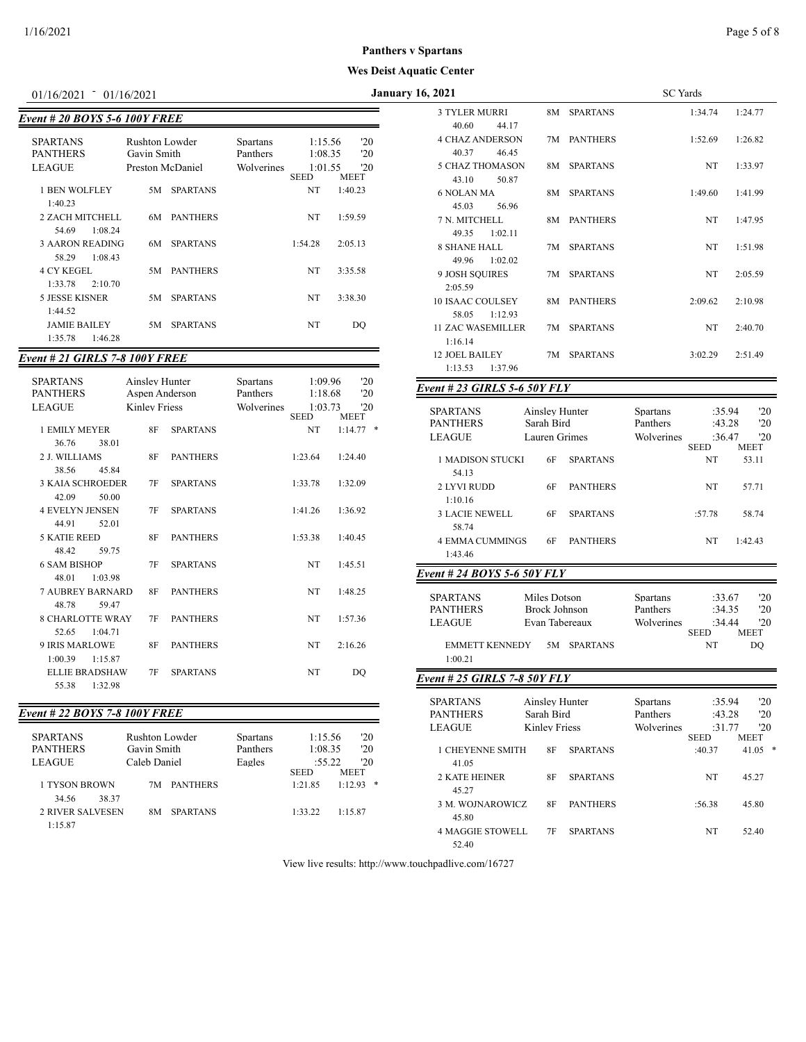| $01/16/2021 = 01/16/2021$                            |                                                   |                 |                                           |                                              |             | Ja               |
|------------------------------------------------------|---------------------------------------------------|-----------------|-------------------------------------------|----------------------------------------------|-------------|------------------|
| <b>Event # 20 BOYS 5-6 100Y FREE</b>                 |                                                   |                 |                                           |                                              |             |                  |
| <b>SPARTANS</b><br><b>PANTHERS</b><br><b>LEAGUE</b>  | Rushton Lowder<br>Gavin Smith<br>Preston McDaniel |                 | <b>Spartans</b><br>Panthers<br>Wolverines | 1:15.56<br>1:08.35<br>1:01.55<br><b>SEED</b> | <b>MEET</b> | '20<br>'20<br>20 |
| <b>1 BEN WOLFLEY</b>                                 | 5M                                                | <b>SPARTANS</b> |                                           | NT                                           | 1:40.23     |                  |
| 1:40.23<br>2 ZACH MITCHELL<br>1:08.24<br>54.69       | 6M                                                | <b>PANTHERS</b> |                                           | NT                                           | 1:59.59     |                  |
| <b>3 AARON READING</b><br>1:08.43<br>58.29           | 6M                                                | <b>SPARTANS</b> |                                           | 1:54.28                                      | 2:05.13     |                  |
| <b>4 CY KEGEL</b><br>1:33.78<br>2.10,70              | 5М.                                               | <b>PANTHERS</b> |                                           | NT                                           | 3:35.58     |                  |
| 5 JESSE KISNER                                       | 5M                                                | <b>SPARTANS</b> |                                           | NT                                           | 3:38.30     |                  |
| 1:44.52<br><b>JAMIE BAILEY</b><br>1:35.78<br>1:46.28 | 5M                                                | <b>SPARTANS</b> |                                           | NT                                           | DO          |                  |

### *Event # 21 GIRLS 7-8 100Y FREE*

| <b>SPARTANS</b><br><b>PANTHERS</b><br><b>LEAGUE</b> | Ainsley Hunter<br>Aspen Anderson<br><b>Kinley Friess</b> |                 | Spartans<br>Panthers<br>Wolverines | 1:09.96<br>1:18.68<br>1:03.73<br><b>SEED</b> | '20<br>'20<br>20<br><b>MEET</b> |
|-----------------------------------------------------|----------------------------------------------------------|-----------------|------------------------------------|----------------------------------------------|---------------------------------|
| 1 EMILY MEYER                                       | 8F                                                       | <b>SPARTANS</b> |                                    | NT                                           | ∗<br>1:14.77                    |
| 38.01<br>36.76                                      |                                                          |                 |                                    |                                              |                                 |
| 2 J. WILLIAMS                                       | 8F                                                       | <b>PANTHERS</b> |                                    | 1:23.64                                      | 1:24.40                         |
| 38.56<br>45.84                                      |                                                          |                 |                                    |                                              |                                 |
| <b>3 KAJA SCHROEDER</b>                             | 7F                                                       | <b>SPARTANS</b> |                                    | 1:33.78                                      | 1:32.09                         |
| 42.09<br>50.00                                      |                                                          |                 |                                    |                                              |                                 |
| <b>4 EVELYN JENSEN</b>                              | 7F                                                       | <b>SPARTANS</b> |                                    | 1:41.26                                      | 1:36.92                         |
| 44.91<br>52.01                                      |                                                          |                 |                                    |                                              |                                 |
| <b>5 KATIE REED</b>                                 | 8F                                                       | <b>PANTHERS</b> |                                    | 1:53.38                                      | 1:40.45                         |
| 48.42<br>59.75                                      |                                                          |                 |                                    |                                              |                                 |
| <b>6 SAM BISHOP</b>                                 | 7F                                                       | <b>SPARTANS</b> |                                    | NT                                           | 1:45.51                         |
| 48.01<br>1:03.98                                    |                                                          |                 |                                    |                                              |                                 |
| <b>7 AUBREY BARNARD</b>                             | 8F                                                       | <b>PANTHERS</b> |                                    | NT                                           | 1:48.25                         |
| 48.78<br>59.47                                      |                                                          |                 |                                    |                                              |                                 |
| <b>8 CHARLOTTE WRAY</b>                             | 7F                                                       | <b>PANTHERS</b> |                                    | NT                                           | 1:57.36                         |
| 1:04.71<br>52.65                                    |                                                          |                 |                                    |                                              |                                 |
| <b>9 IRIS MARLOWE</b>                               | 8F                                                       | <b>PANTHERS</b> |                                    | NT                                           | 2:16.26                         |
| 1:00.39<br>1:15.87                                  |                                                          |                 |                                    |                                              |                                 |
| <b>ELLIE BRADSHAW</b>                               | 7F                                                       | <b>SPARTANS</b> |                                    | NT                                           | DO                              |
| 55.38<br>1:32.98                                    |                                                          |                 |                                    |                                              |                                 |
|                                                     |                                                          |                 |                                    |                                              |                                 |

### *Event # 22 BOYS 7-8 100Y FREE*

| <b>SPARTANS</b><br><b>PANTHERS</b><br><b>LEAGUE</b> | Rushton Lowder<br>Gavin Smith<br>Caleb Daniel |                 | <b>Spartans</b><br>Panthers<br>Eagles | 1:15.56<br>1:08.35<br>:55.22 |  | 20<br>'20<br>$20^{\circ}$  |  |
|-----------------------------------------------------|-----------------------------------------------|-----------------|---------------------------------------|------------------------------|--|----------------------------|--|
| 1 TYSON BROWN<br>38.37<br>34.56                     | 7M.                                           | <b>PANTHERS</b> |                                       | <b>SEED</b><br>1:21.85       |  | <b>MEET</b><br>*<br>1.1293 |  |
| <b>2 RIVER SALVESEN</b><br>1:15.87                  | 8M                                            | <b>SPARTANS</b> |                                       | 1:33.22                      |  | 1:15.87                    |  |

|                                             |                                  |                 |                                    |                              |                             | 1163 DUST Aquatic Center                                                                                   |                                                                                        |
|---------------------------------------------|----------------------------------|-----------------|------------------------------------|------------------------------|-----------------------------|------------------------------------------------------------------------------------------------------------|----------------------------------------------------------------------------------------|
| 01/16/2021                                  | $-01/16/2021$                    |                 |                                    |                              |                             | <b>January 16, 2021</b>                                                                                    | <b>SC</b> Yards                                                                        |
| ent # 20 BOYS 5-6 100Y FREE                 |                                  |                 |                                    |                              |                             | <b>3 TYLER MURRI</b><br>8M SPARTANS<br>40.60<br>44.17                                                      | 1:34.74<br>1:24.77                                                                     |
| SPARTANS<br><b>PANTHERS</b><br>LEAGUE       | Rushton Lowder<br>Gavin Smith    |                 | Spartans<br>Panthers<br>Wolverines | 1:15.56<br>1:08.35           | '20<br>'20<br>'20           | <b>4 CHAZ ANDERSON</b><br>7M PANTHERS<br>40.37<br>46.45<br><b>5 CHAZ THOMASON</b><br><b>SPARTANS</b><br>8M | 1:52.69<br>1:26.82<br>1:33.97<br>NT                                                    |
| 1 BEN WOLFLEY                               | Preston McDaniel                 | 5M SPARTANS     |                                    | 1:01.55<br><b>SEED</b><br>NT | MEET<br>1:40.23             | 43.10<br>50.87<br><b>6 NOLAN MA</b><br>8M SPARTANS                                                         | 1:41.99<br>1:49.60                                                                     |
| 1:40.23<br>2 ZACH MITCHELL                  |                                  | 6M PANTHERS     |                                    | NT                           | 1:59.59                     | 45.03<br>56.96<br>7 N. MITCHELL<br>8M PANTHERS                                                             | 1:47.95<br>NT                                                                          |
| 54.69<br>1:08.24<br><b>3 AARON READING</b>  | 6M                               | <b>SPARTANS</b> |                                    | 1:54.28                      | 2:05.13                     | 49.35<br>1:02.11<br>7M SPARTANS                                                                            |                                                                                        |
| 58.29<br>1:08.43<br><b>4 CY KEGEL</b>       |                                  |                 |                                    | NT                           |                             | <b>8 SHANE HALL</b><br>49.96<br>1:02.02                                                                    | NT<br>1:51.98                                                                          |
| 1:33.78<br>2:10.70                          |                                  | 5M PANTHERS     |                                    |                              | 3:35.58                     | 9 JOSH SQUIRES<br>7M SPARTANS<br>2:05.59                                                                   | NT<br>2:05.59                                                                          |
| 5 JESSE KISNER<br>1:44.52                   | 5M                               | <b>SPARTANS</b> |                                    | NT                           | 3:38.30                     | <b>10 ISAAC COULSEY</b><br>8M PANTHERS<br>58.05<br>1:12.93                                                 | 2:10.98<br>2:09.62                                                                     |
| <b>JAMIE BAILEY</b><br>1:35.78<br>1:46.28   | 5M                               | <b>SPARTANS</b> |                                    | NT                           | DQ                          | <b>11 ZAC WASEMILLER</b><br>7M SPARTANS<br>1:16.14                                                         | 2:40.70<br>NT                                                                          |
| ent # 21 GIRLS 7-8 100Y FREE                |                                  |                 |                                    |                              |                             | <b>12 JOEL BAILEY</b><br>7M SPARTANS<br>1:13.53<br>1:37.96                                                 | 3:02.29<br>2:51.49                                                                     |
| SPARTANS<br>PANTHERS                        | Ainsley Hunter<br>Aspen Anderson |                 | <b>Spartans</b><br>Panthers        | 1:09.96<br>1:18.68           | '20<br>'20                  | Event # 23 GIRLS 5-6 50Y FLY                                                                               |                                                                                        |
| LEAGUE                                      | <b>Kinley Friess</b>             |                 | Wolverines                         | 1:03.73<br><b>SEED</b>       | '20<br><b>MEET</b>          | <b>SPARTANS</b><br>Ainsley Hunter                                                                          | :35.94<br>'20<br>Spartans                                                              |
| 1 EMILY MEYER<br>36.76<br>38.01             | 8F                               | <b>SPARTANS</b> |                                    | NT                           | $1:14.77$ *                 | <b>PANTHERS</b><br>Sarah Bird<br><b>LEAGUE</b><br>Lauren Grimes                                            | Panthers<br>:43.28<br>'20<br>:36.47<br>'20<br>Wolverines<br><b>SEED</b><br><b>MEET</b> |
| 2 J. WILLIAMS<br>38.56<br>45.84             | <b>8F</b>                        | <b>PANTHERS</b> |                                    | 1:23.64                      | 1:24.40                     | 1 MADISON STUCKI<br>6F<br><b>SPARTANS</b><br>54.13                                                         | NT<br>53.11                                                                            |
| <b>3 KAIA SCHROEDER</b><br>42.09<br>50.00   | 7F                               | <b>SPARTANS</b> |                                    | 1:33.78                      | 1:32.09                     | 2 LYVI RUDD<br><b>PANTHERS</b><br>6F<br>1:10.16                                                            | NT<br>57.71                                                                            |
| <b>4 EVELYN JENSEN</b><br>44.91<br>52.01    | 7F                               | <b>SPARTANS</b> |                                    | 1:41.26                      | 1:36.92                     | <b>3 LACIE NEWELL</b><br><b>SPARTANS</b><br>6F<br>58.74                                                    | :57.78<br>58.74                                                                        |
| <b>5 KATIE REED</b><br>48.42<br>59.75       | 8F                               | <b>PANTHERS</b> |                                    | 1:53.38                      | 1:40.45                     | <b>4 EMMA CUMMINGS</b><br><b>PANTHERS</b><br>6F<br>1:43.46                                                 | 1:42.43<br>NT                                                                          |
| <b>6 SAM BISHOP</b><br>1:03.98<br>48.01     | 7F                               | <b>SPARTANS</b> |                                    | NT                           | 1:45.51                     | Event # 24 BOYS 5-6 50Y FLY                                                                                |                                                                                        |
| <b>7 AUBREY BARNARD</b><br>48.78<br>59.47   | 8F                               | <b>PANTHERS</b> |                                    | NT                           | 1:48.25                     | <b>SPARTANS</b><br>Miles Dotson<br><b>PANTHERS</b><br><b>Brock Johnson</b>                                 | Spartans<br>:33.67<br>'20<br>Panthers<br>'20<br>:34.35                                 |
| <b>8 CHARLOTTE WRAY</b><br>52.65<br>1:04.71 | 7F                               | <b>PANTHERS</b> |                                    | NT                           | 1:57.36                     | <b>LEAGUE</b><br>Evan Tabereaux                                                                            | :34.44<br>'20<br>Wolverines<br><b>SEED</b><br><b>MEET</b>                              |
| 9 IRIS MARLOWE<br>1:00.39<br>1:15.87        | 8F                               | <b>PANTHERS</b> |                                    | NT                           | 2:16.26                     | <b>EMMETT KENNEDY</b><br>5M SPARTANS<br>1:00.21                                                            | NT<br>DO                                                                               |
| <b>ELLIE BRADSHAW</b><br>1:32.98<br>55.38   | 7F                               | <b>SPARTANS</b> |                                    | NT                           | DQ                          | Event # 25 GIRLS 7-8 50Y FLY                                                                               |                                                                                        |
|                                             |                                  |                 |                                    |                              |                             | <b>SPARTANS</b><br>Ainsley Hunter                                                                          | :35.94<br>'20<br>Spartans                                                              |
| ent # 22 BOYS 7-8 100Y FREE                 |                                  |                 |                                    |                              |                             | <b>PANTHERS</b><br>Sarah Bird                                                                              | Panthers<br>:43.28<br>'20                                                              |
| SPARTANS                                    | Rushton Lowder                   |                 | <b>Spartans</b>                    | 1:15.56                      | '20                         | LEAGUE<br><b>Kinley Friess</b>                                                                             | :31.77<br>'20<br>Wolverines<br><b>SEED</b><br>MEET                                     |
| PANTHERS<br>LEAGUE                          | Gavin Smith<br>Caleb Daniel      |                 | Panthers<br>Eagles                 | 1:08.35<br>:55.22<br>SEED    | '20<br>$20^{\circ}$<br>MEET | 1 CHEYENNE SMITH<br><b>SPARTANS</b><br>8F<br>41.05                                                         | :40.37<br>$41.05$ *                                                                    |
| 1 TYSON BROWN<br>34.56<br>38.37             |                                  | 7M PANTHERS     |                                    | 1:21.85                      | $1:12.93$ *                 | 2 KATE HEINER<br>8F<br><b>SPARTANS</b><br>45.27                                                            | NT<br>45.27                                                                            |
| <b>2 RIVER SALVESEN</b>                     |                                  | 8M SPARTANS     |                                    | 1:33.22                      | 1:15.87                     | 3 M. WOJNAROWICZ<br><b>PANTHERS</b><br>8F<br>45.80                                                         | :56.38<br>45.80                                                                        |
| 1:15.87                                     |                                  |                 |                                    |                              |                             | <b>4 MAGGIE STOWELL</b><br><b>SPARTANS</b><br>7F                                                           | 52.40<br>NT                                                                            |

View live results: http://www.touchpadlive.com/16727

52.40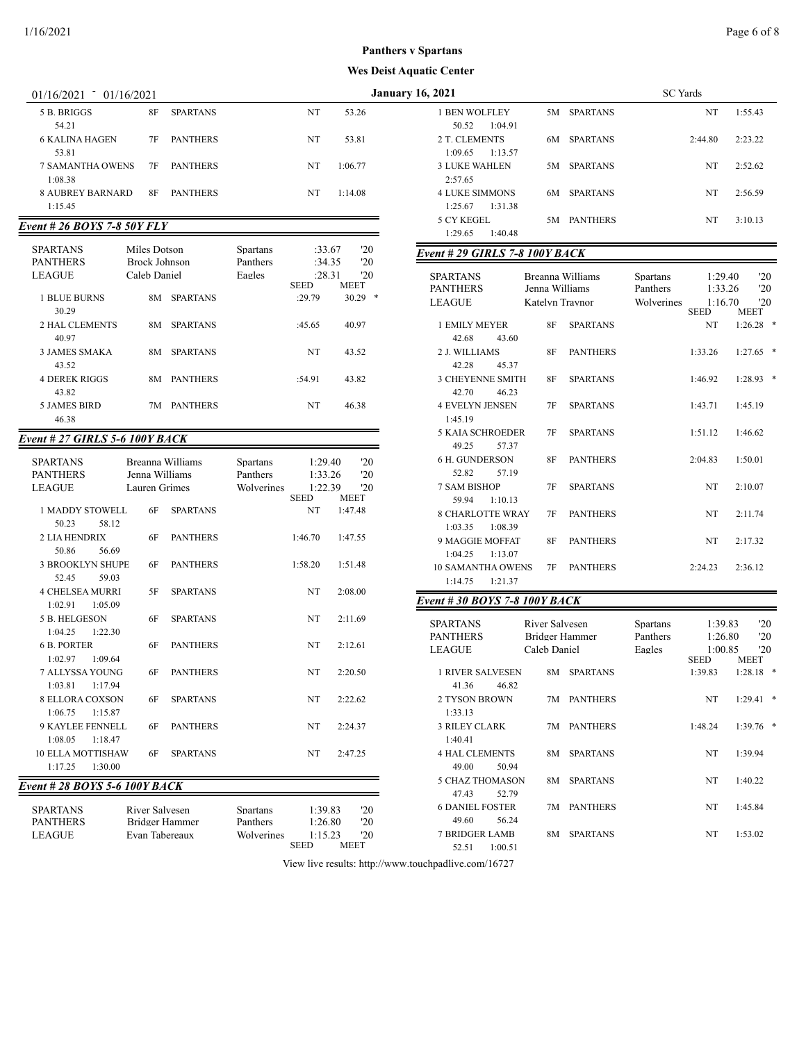## **st Aquatic Center Panthers v Spartans**

|                                               |                                      |                 |                             |                        |                    | <b>Wes Deist Aquatic Center</b>                |                 |                  |                             |
|-----------------------------------------------|--------------------------------------|-----------------|-----------------------------|------------------------|--------------------|------------------------------------------------|-----------------|------------------|-----------------------------|
| 01/16/2021                                    | $-01/16/2021$                        |                 |                             |                        |                    | <b>January 16, 2021</b>                        |                 |                  | <b>SC</b> Yards             |
| 5 B. BRIGGS<br>54.21                          | <b>8F</b>                            | <b>SPARTANS</b> |                             | NT                     | 53.26              | 1 BEN WOLFLEY<br>50.52<br>1:04.91              |                 | 5M SPARTANS      |                             |
| <b>6 KALINA HAGEN</b><br>53.81                | 7F                                   | <b>PANTHERS</b> |                             | NT                     | 53.81              | 2 T. CLEMENTS<br>1:09.65<br>1:13.57            |                 | 6M SPARTANS      | 2:4                         |
| <b>7 SAMANTHA OWENS</b><br>1:08.38            | 7F                                   | <b>PANTHERS</b> |                             | NT                     | 1:06.77            | <b>3 LUKE WAHLEN</b><br>2:57.65                |                 | 5M SPARTANS      |                             |
| <b>8 AUBREY BARNARD</b><br>1:15.45            | 8F                                   | <b>PANTHERS</b> |                             | NT                     | 1:14.08            | <b>4 LUKE SIMMONS</b><br>1:25.67<br>1:31.38    |                 | 6M SPARTANS      |                             |
| Event # 26 BOYS 7-8 50Y FLY                   |                                      |                 |                             |                        |                    | 5 CY KEGEL<br>1:29.65<br>1:40.48               |                 | 5M PANTHERS      |                             |
| <b>SPARTANS</b><br><b>PANTHERS</b>            | Miles Dotson<br><b>Brock Johnson</b> |                 | <b>Spartans</b><br>Panthers | :33.67<br>:34.35       | '20<br>'20         | Event #29 GIRLS 7-8 100Y BACK                  |                 |                  |                             |
| <b>LEAGUE</b>                                 | Caleb Daniel                         |                 | Eagles                      | :28.31<br><b>SEED</b>  | '20<br><b>MEET</b> | <b>SPARTANS</b><br><b>PANTHERS</b>             | Jenna Williams  | Breanna Williams | <b>Spartans</b><br>Panthers |
| <b>1 BLUE BURNS</b><br>30.29                  |                                      | 8M SPARTANS     |                             | :29.79                 | $30.29$ *          | <b>LEAGUE</b>                                  | Katelyn Travnor |                  | Wolverines<br><b>SEI</b>    |
| 2 HAL CLEMENTS<br>40.97                       | 8M                                   | <b>SPARTANS</b> |                             | :45.65                 | 40.97              | 1 EMILY MEYER<br>42.68<br>43.60                | 8F              | <b>SPARTANS</b>  |                             |
| <b>3 JAMES SMAKA</b><br>43.52                 | 8M                                   | <b>SPARTANS</b> |                             | NT                     | 43.52              | 2 J. WILLIAMS<br>45.37<br>42.28                | 8F              | <b>PANTHERS</b>  | 1:3                         |
| <b>4 DEREK RIGGS</b><br>43.82                 |                                      | 8M PANTHERS     |                             | :54.91                 | 43.82              | 3 CHEYENNE SMITH<br>42.70<br>46.23             | 8F              | <b>SPARTANS</b>  | 1:4                         |
| <b>5 JAMES BIRD</b><br>46.38                  |                                      | 7M PANTHERS     |                             | NT                     | 46.38              | <b>4 EVELYN JENSEN</b><br>1:45.19              | 7F              | <b>SPARTANS</b>  | 1:4                         |
| Event # 27 GIRLS 5-6 100Y BACK                |                                      |                 |                             |                        |                    | <b>5 KAIA SCHROEDER</b><br>49.25<br>57.37      | 7F              | <b>SPARTANS</b>  | 1:5                         |
| <b>SPARTANS</b><br><b>PANTHERS</b>            | Breanna Williams<br>Jenna Williams   |                 | <b>Spartans</b><br>Panthers | 1:29.40<br>1:33.26     | '20<br>'20         | <b>6 H. GUNDERSON</b><br>52.82<br>57.19        | 8F              | <b>PANTHERS</b>  | 2:0                         |
| <b>LEAGUE</b>                                 | Lauren Grimes                        |                 | Wolverines                  | 1:22.39<br><b>SEED</b> | '20<br><b>MEET</b> | <b>7 SAM BISHOP</b><br>59.94<br>1:10.13        | 7F              | <b>SPARTANS</b>  |                             |
| <b>1 MADDY STOWELL</b><br>50.23<br>58.12      | 6F                                   | <b>SPARTANS</b> |                             | NT                     | 1:47.48            | 8 CHARLOTTE WRAY<br>1:03.35<br>1:08.39         | 7F              | <b>PANTHERS</b>  |                             |
| <b>2 LIA HENDRIX</b><br>50.86<br>56.69        | 6F                                   | <b>PANTHERS</b> |                             | 1:46.70                | 1:47.55            | 9 MAGGIE MOFFAT<br>1:04.25<br>1:13.07          | 8F              | <b>PANTHERS</b>  |                             |
| <b>3 BROOKLYN SHUPE</b><br>52.45<br>59.03     | 6F                                   | <b>PANTHERS</b> |                             | 1:58.20                | 1:51.48            | <b>10 SAMANTHA OWENS</b><br>1:14.75            | 7F              | <b>PANTHERS</b>  | 2:2                         |
| <b>4 CHELSEA MURRI</b><br>$1.02.91$ $1.05.09$ | 5F                                   | <b>SPARTANS</b> |                             | NT                     | 2:08.00            | 1:21.37<br><b>Event #30 BOYS 7-8 100Y BACK</b> |                 |                  |                             |

5 B. HELGESON 6F SPARTANS NT 2:11.69

6 B. PORTER 6F PANTHERS NT 2:12.61

7 ALLYSSA YOUNG 6F PANTHERS NT 2:20.50

8 ELLORA COXSON 6F SPARTANS NT 2:22.62

9 KAYLEE FENNELL 6F PANTHERS NT 2:24.37

10 ELLA MOTTISHAW 6F SPARTANS NT 2:47.25

SPARTANS River Salvesen Spartans 1:39.83 '20 PANTHERS Bridger Hammer Panthers 1:26.80 '20<br>
LEAGUE Evan Tabereaux Wolverines 1:15.23 '20 LEAGUE Evan Tabereaux Wolverines 1:15.23<br>SEED N

1:04.25 1:22.30

1:02.97 1:09.64

1:03.81 1:17.94

1:06.75 1:15.87

1:08.05 1:18.47

1:17.25 1:30.00 *Event # 28 BOYS 5-6 100Y BACK*

| 6, 2021               |    | <b>SC</b> Yards |           |         |  |  |
|-----------------------|----|-----------------|-----------|---------|--|--|
| <b>1 BEN WOLFLEY</b>  | 5M | <b>SPARTANS</b> | NT        | 1:55.43 |  |  |
| 1:04.91<br>50.52      |    |                 |           |         |  |  |
| 2 T. CLEMENTS         | 6M | <b>SPARTANS</b> | 2:44.80   | 2:23.22 |  |  |
| 1:13.57<br>1:09.65    |    |                 |           |         |  |  |
| <b>3 LUKE WAHLEN</b>  | 5M | <b>SPARTANS</b> | NT        | 2:52.62 |  |  |
| 2:57.65               |    |                 |           |         |  |  |
| <b>4 LUKE SIMMONS</b> | 6M | <b>SPARTANS</b> | <b>NT</b> | 2:56.59 |  |  |
| 1:31.38<br>1:25.67    |    |                 |           |         |  |  |
| 5 CY KEGEL            | 5M | <b>PANTHERS</b> | NT        | 3:10.13 |  |  |
| 1:40.48<br>1:29.65    |    |                 |           |         |  |  |

#### *Event # 29 GIRLS 7-8 100Y BACK*

|    |                 | <b>Spartans</b><br>Panthers<br>Wolverines                                                                      | <b>SEED</b> | '20<br>'20<br>20<br><b>MEET</b>                                |
|----|-----------------|----------------------------------------------------------------------------------------------------------------|-------------|----------------------------------------------------------------|
| 8F | <b>SPARTANS</b> |                                                                                                                | <b>NT</b>   | *<br>1:26.28                                                   |
|    |                 |                                                                                                                |             |                                                                |
|    |                 |                                                                                                                |             | 1:27.65<br>*                                                   |
|    |                 |                                                                                                                |             |                                                                |
|    |                 |                                                                                                                |             | *<br>1:28.93                                                   |
|    |                 |                                                                                                                |             |                                                                |
|    |                 |                                                                                                                |             | 1:45.19                                                        |
|    |                 |                                                                                                                |             |                                                                |
| 7F | <b>SPARTANS</b> |                                                                                                                | 1:51.12     | 1:46.62                                                        |
|    |                 |                                                                                                                |             |                                                                |
| 8F | <b>PANTHERS</b> |                                                                                                                | 2:04.83     | 1:50.01                                                        |
|    |                 |                                                                                                                |             |                                                                |
| 7F | <b>SPARTANS</b> |                                                                                                                | <b>NT</b>   | 2:10.07                                                        |
|    |                 |                                                                                                                |             |                                                                |
| 7F | <b>PANTHERS</b> |                                                                                                                | <b>NT</b>   | 2:11.74                                                        |
|    |                 |                                                                                                                |             |                                                                |
| 8F | <b>PANTHERS</b> |                                                                                                                | <b>NT</b>   | 2:17.32                                                        |
|    |                 |                                                                                                                |             |                                                                |
| 7F | <b>PANTHERS</b> |                                                                                                                | 2:24.23     | 2:36.12                                                        |
|    |                 |                                                                                                                |             |                                                                |
|    | 8F<br>8F<br>7F  | Breanna Williams<br>Jenna Williams<br>Katelyn Traynor<br><b>PANTHERS</b><br><b>SPARTANS</b><br><b>SPARTANS</b> |             | 1:29.40<br>1:33.26<br>1:16.70<br>1:33.26<br>1:46.92<br>1:43.71 |

#### *Event # 30 BOYS 7-8 100Y BACK*

| <b>SPARTANS</b>         | River Salvesen        | <b>Spartans</b> | 1:39.83     | '20         |   |
|-------------------------|-----------------------|-----------------|-------------|-------------|---|
| <b>PANTHERS</b>         | Bridger Hammer        | Panthers        | 1:26.80     | '20         |   |
| <b>LEAGUE</b>           | Caleb Daniel          | Eagles          | 1:00.85     | '20         |   |
|                         |                       |                 | <b>SEED</b> | <b>MEET</b> |   |
| <b>1 RIVER SALVESEN</b> | <b>SPARTANS</b><br>8M |                 | 1:39.83     | 1:28.18     | * |
| 41.36<br>46.82          |                       |                 |             |             |   |
| 2 TYSON BROWN           | <b>PANTHERS</b><br>7M |                 | NT          | 1:29.41     | * |
| 1:33.13                 |                       |                 |             |             |   |
| <b>3 RILEY CLARK</b>    | <b>PANTHERS</b><br>7M |                 | 1:48.24     | 1:39.76     | * |
| 1:40.41                 |                       |                 |             |             |   |
| <b>4 HAL CLEMENTS</b>   | <b>SPARTANS</b><br>8M |                 | NT          | 1:39.94     |   |
| 49.00<br>50.94          |                       |                 |             |             |   |
| 5 CHAZ THOMASON         | <b>SPARTANS</b><br>8M |                 | NT          | 1:40.22     |   |
| 47.43<br>52.79          |                       |                 |             |             |   |
| <b>6 DANIEL FOSTER</b>  | <b>PANTHERS</b><br>7M |                 | NT          | 1:45.84     |   |
| 56.24<br>49.60          |                       |                 |             |             |   |
| 7 BRIDGER LAMB          | <b>SPARTANS</b><br>8M |                 | NT          | 1:53.02     |   |
| 1:00.51<br>52.51        |                       |                 |             |             |   |
|                         |                       |                 |             |             |   |

View live results: http://www.touchpadlive.com/16727

MEET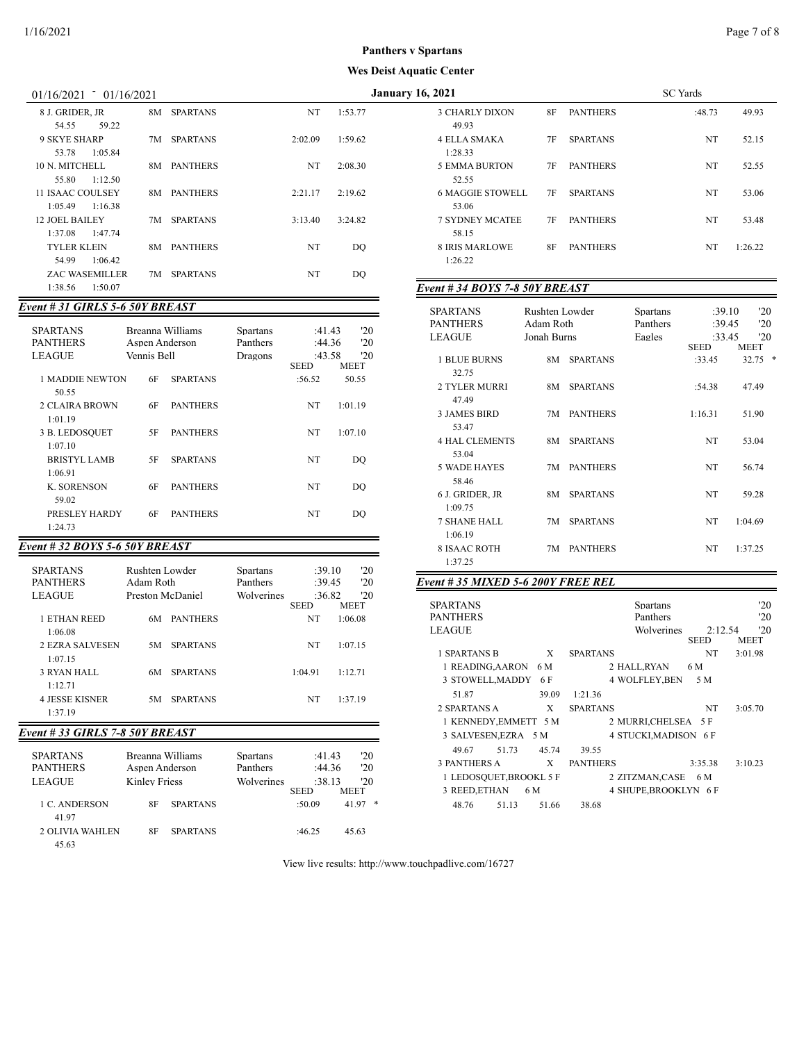| 01/16/2021 | 01/16/2021 |
|------------|------------|

| 8 J. GRIDER, JR       | 8M | <b>SPARTANS</b> | NT      | 1:53.77 |
|-----------------------|----|-----------------|---------|---------|
| 59.22<br>54.55        |    |                 |         |         |
| 9 SKYE SHARP          | 7M | <b>SPARTANS</b> | 2:02.09 | 1:59.62 |
| 1:05.84<br>53.78      |    |                 |         |         |
| 10 N. MITCHELL        | 8M | <b>PANTHERS</b> | NT      | 2:08.30 |
| 1:12.50<br>55.80      |    |                 |         |         |
| 11 ISAAC COULSEY      | 8M | <b>PANTHERS</b> | 2:21.17 | 2:19.62 |
| 1:16.38<br>1:05.49    |    |                 |         |         |
| <b>12 JOEL BAILEY</b> | 7M | <b>SPARTANS</b> | 3:13.40 | 3:24.82 |
| 1:47.74<br>1:37.08    |    |                 |         |         |
| TYLER KLEIN           | 8M | <b>PANTHERS</b> | NT      | DO      |
| 1:06.42<br>54.99      |    |                 |         |         |
| <b>ZAC WASEMILLER</b> | 7M | <b>SPARTANS</b> | NT      | DO      |
| 1:50.07<br>1:38.56    |    |                 |         |         |

### *Event # 31 GIRLS 5-6 50Y BREAST*

| <b>SPARTANS</b><br><b>PANTHERS</b><br><b>LEAGUE</b> | Breanna Williams<br>Aspen Anderson<br>Vennis Bell |                 | <b>Spartans</b><br>Panthers<br>Dragons | :41.43<br>:44.36<br>:43.58 | '20<br>'20<br>'20 |
|-----------------------------------------------------|---------------------------------------------------|-----------------|----------------------------------------|----------------------------|-------------------|
|                                                     |                                                   |                 |                                        | <b>SEED</b>                | <b>MEET</b>       |
| 1 MADDIE NEWTON<br>50.55                            | 6F                                                | <b>SPARTANS</b> |                                        | :56.52                     | 50.55             |
| 2 CLAIRA BROWN<br>1:01.19                           | 6F                                                | <b>PANTHERS</b> |                                        | NT                         | 1:01.19           |
| 3 B. LEDOSQUET<br>1:07.10                           | 5F                                                | <b>PANTHERS</b> |                                        | NT                         | 1:07.10           |
| <b>BRISTYL LAMB</b><br>1:06.91                      | 5F                                                | <b>SPARTANS</b> |                                        | NT                         | DO                |
| <b>K. SORENSON</b><br>59.02                         | 6F                                                | <b>PANTHERS</b> |                                        | NT                         | DO                |
| PRESLEY HARDY<br>1:24.73                            | 6F                                                | <b>PANTHERS</b> |                                        | NT                         | DO                |

#### *Event # 32 BOYS 5-6 50Y BREAST*

45.63

| <b>SPARTANS</b>                 | Rushten Lowder       |                 | <b>Spartans</b> | :39.10      | '20         |
|---------------------------------|----------------------|-----------------|-----------------|-------------|-------------|
| <b>PANTHERS</b>                 | Adam Roth            |                 | Panthers        | :39.45      | '20         |
| <b>LEAGUE</b>                   | Preston McDaniel     |                 | Wolverines      | :36.82      | '20         |
|                                 |                      |                 |                 | <b>SEED</b> | <b>MEET</b> |
| 1 ETHAN REED                    | 6M                   | <b>PANTHERS</b> |                 | NT          | 1:06.08     |
| 1:06.08                         |                      |                 |                 |             |             |
| 2 EZRA SALVESEN                 | 5M                   | <b>SPARTANS</b> |                 | NT          | 1:07.15     |
| 1.0715                          |                      |                 |                 |             |             |
| <b>3 RYAN HALL</b>              | 6M                   | <b>SPARTANS</b> |                 | 1:04.91     | 1:12.71     |
| 1:12.71                         |                      |                 |                 |             |             |
| <b>4 JESSE KISNER</b>           | 5M                   | <b>SPARTANS</b> |                 | NT          | 1:37.19     |
| 1:37.19                         |                      |                 |                 |             |             |
| Event # 33 GIRLS 7-8 50Y BREAST |                      |                 |                 |             |             |
| <b>SPARTANS</b>                 | Breanna Williams     |                 |                 |             |             |
|                                 |                      |                 | <b>Spartans</b> | :41.43      | '20         |
| <b>PANTHERS</b>                 | Aspen Anderson       |                 | Panthers        | :44.36      | '20         |
| <b>LEAGUE</b>                   | <b>Kinley Friess</b> |                 | Wolverines      | :38.13      | '20         |
|                                 |                      |                 |                 | <b>SEED</b> | <b>MEET</b> |
| 1 C. ANDERSON                   | 8F                   | <b>SPARTANS</b> |                 | :50.09      | *<br>41.97  |
| 41.97                           |                      |                 |                 |             |             |

2 OLIVIA WAHLEN 8F SPARTANS :46.25 45.63

| 01/16/2021 01/16/2021 |         |    |                 |         |         | <b>January 16, 2021</b>        |    |                 | SC Yards |         |
|-----------------------|---------|----|-----------------|---------|---------|--------------------------------|----|-----------------|----------|---------|
| 8 J. GRIDER, JR       |         | 8M | <b>SPARTANS</b> | NT      | 1:53.77 | <b>3 CHARLY DIXON</b>          | 8F | <b>PANTHERS</b> | :48.73   | 49.93   |
| 54.55                 | 59.22   |    |                 |         |         | 49.93                          |    |                 |          |         |
| 9 SKYE SHARP<br>53.78 | 1:05.84 | 7M | <b>SPARTANS</b> | 2:02.09 | 1:59.62 | <b>4 ELLA SMAKA</b><br>1:28.33 | 7F | <b>SPARTANS</b> | NT       | 52.15   |
| 10 N. MITCHELL        |         | 8M | <b>PANTHERS</b> | NT      | 2:08.30 | <b>5 EMMA BURTON</b>           | 7F | <b>PANTHERS</b> | NT       | 52.55   |
| 55.80                 | 1:12.50 |    |                 |         |         | 52.55                          |    |                 |          |         |
| 11 ISAAC COULSEY      |         | 8M | <b>PANTHERS</b> | 2:21.17 | 2:19.62 | <b>6 MAGGIE STOWELL</b>        | 7F | <b>SPARTANS</b> | NT       | 53.06   |
| 1:05.49               | 1:16.38 |    |                 |         |         | 53.06                          |    |                 |          |         |
| <b>12 JOEL BAILEY</b> |         | 7M | <b>SPARTANS</b> | 3:13.40 | 3:24.82 | <b>7 SYDNEY MCATEE</b>         | 7F | <b>PANTHERS</b> | NT       | 53.48   |
| 1:37.08               | 1:47.74 |    |                 |         |         | 58.15                          |    |                 |          |         |
| <b>TYLER KLEIN</b>    |         | 8M | <b>PANTHERS</b> | NT      | DQ      | 8 IRIS MARLOWE                 | 8F | <b>PANTHERS</b> | NT       | 1:26.22 |
| 54.99                 | 1:06.42 |    |                 |         |         | 1:26.22                        |    |                 |          |         |

## *Event # 34 BOYS 7-8 50Y BREAST*

| <b>SPARTANS</b><br><b>PANTHERS</b><br><b>LEAGUE</b> | Rushten Lowder<br>Adam Roth<br>Jonah Burns |                 | <b>Spartans</b><br>Panthers<br>Eagles | :39.10<br>:39.45<br>:33.45 | '20<br>'20<br>20     |
|-----------------------------------------------------|--------------------------------------------|-----------------|---------------------------------------|----------------------------|----------------------|
| <b>1 BLUE BURNS</b><br>32.75                        | 8M                                         | <b>SPARTANS</b> |                                       | <b>SEED</b><br>:33.45      | <b>MEET</b><br>32.75 |
| 2 TYLER MURRI<br>47.49                              | 8M                                         | <b>SPARTANS</b> |                                       | :54.38                     | 47.49                |
| <b>3 JAMES BIRD</b><br>53.47                        | 7M                                         | <b>PANTHERS</b> |                                       | 1:16.31                    | 51.90                |
| <b>4 HAL CLEMENTS</b><br>53.04                      | 8M                                         | <b>SPARTANS</b> |                                       | NT                         | 53.04                |
| <b>5 WADE HAYES</b><br>58.46                        | 7M                                         | <b>PANTHERS</b> |                                       | NT                         | 56.74                |
| 6 J. GRIDER, JR<br>1:09.75                          | 8M                                         | <b>SPARTANS</b> |                                       | NT                         | 59.28                |
| <b>7 SHANE HALL</b><br>1:06.19                      | 7M                                         | <b>SPARTANS</b> |                                       | <b>NT</b>                  | 1:04.69              |
| <b>8 ISAAC ROTH</b><br>1:37.25                      | 7M                                         | <b>PANTHERS</b> |                                       | <b>NT</b>                  | 1:37.25              |

## *Event # 35 MIXED 5-6 200Y FREE REL*

| <b>SPARTANS</b>         |       |                 | Spartans              |             | '20         |
|-------------------------|-------|-----------------|-----------------------|-------------|-------------|
| <b>PANTHERS</b>         |       |                 | Panthers              |             | '20         |
| <b>LEAGUE</b>           |       |                 | Wolverines            | 2:12.54     | '20         |
|                         |       |                 |                       | <b>SEED</b> | <b>MEET</b> |
| 1 SPARTANS B            | X     | <b>SPARTANS</b> |                       | NT          | 3:01.98     |
| 1 READING, AARON 6 M    |       |                 | 2 HALL,RYAN           | 6 M         |             |
| 3 STOWELL, MADDY        | 6 F   |                 | 4 WOLFLEY,BEN         | 5 M         |             |
| 51.87                   | 39.09 | 1:21.36         |                       |             |             |
| 2 SPARTANS A            | X     | <b>SPARTANS</b> |                       | <b>NT</b>   | 3:05.70     |
| 1 KENNEDY, EMMETT 5 M   |       |                 | 2 MURRI, CHELSEA 5 F  |             |             |
| 3 SALVESEN, EZRA 5 M    |       |                 | 4 STUCKI, MADISON 6 F |             |             |
| 51.73<br>49.67          | 45.74 | 39.55           |                       |             |             |
| <b>3 PANTHERS A</b>     | X     | <b>PANTHERS</b> |                       | 3:35.38     | 3:10.23     |
| 1 LEDOSQUET, BROOKL 5 F |       |                 | 2 ZITZMAN,CASE        | 6 M         |             |
| 3 REED.ETHAN<br>6 M     |       |                 | 4 SHUPE, BROOKLYN 6 F |             |             |
| 51.13<br>48.76          | 51.66 | 38.68           |                       |             |             |